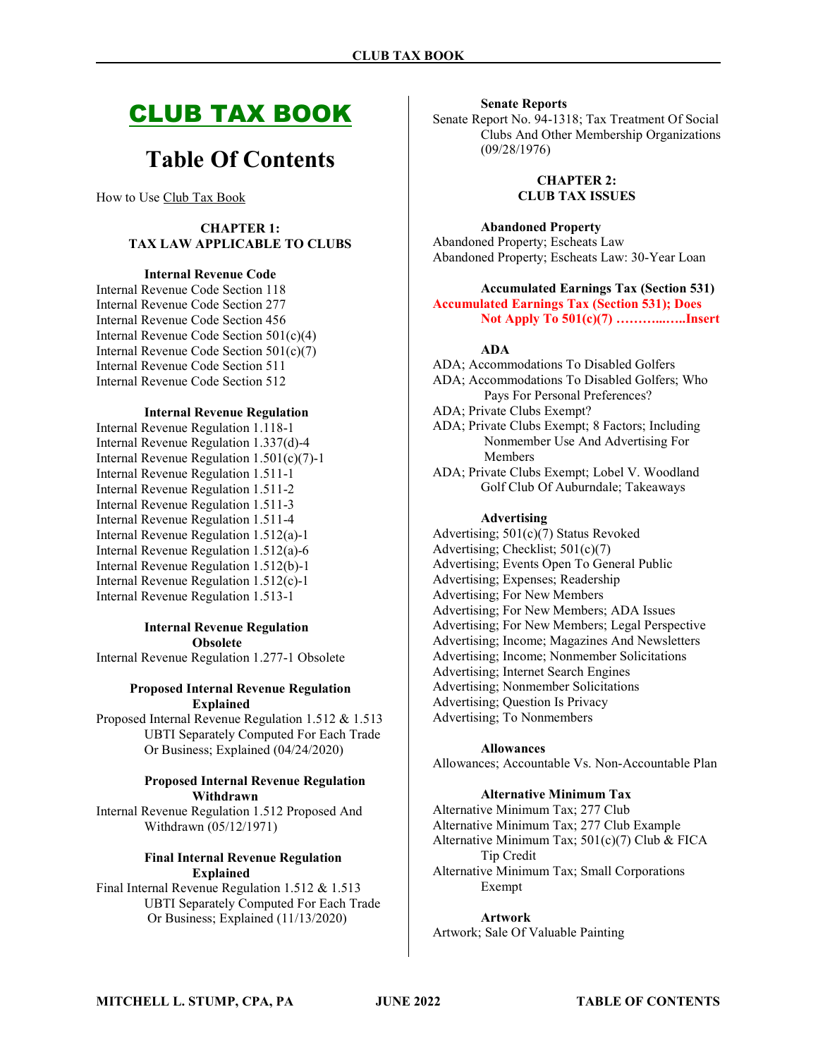# CLUB TAX BOOK

# Table Of Contents

How to Use Club Tax Book

## CHAPTER 1: TAX LAW APPLICABLE TO CLUBS

#### Internal Revenue Code

Internal Revenue Code Section 118 Internal Revenue Code Section 277 Internal Revenue Code Section 456 Internal Revenue Code Section 501(c)(4) Internal Revenue Code Section 501(c)(7) Internal Revenue Code Section 511 Internal Revenue Code Section 512

#### Internal Revenue Regulation

Internal Revenue Regulation 1.118-1 Internal Revenue Regulation 1.337(d)-4 Internal Revenue Regulation 1.501(c)(7)-1 Internal Revenue Regulation 1.511-1 Internal Revenue Regulation 1.511-2 Internal Revenue Regulation 1.511-3 Internal Revenue Regulation 1.511-4 Internal Revenue Regulation 1.512(a)-1 Internal Revenue Regulation 1.512(a)-6 Internal Revenue Regulation 1.512(b)-1 Internal Revenue Regulation 1.512(c)-1 Internal Revenue Regulation 1.513-1

## Internal Revenue Regulation Obsolete

Internal Revenue Regulation 1.277-1 Obsolete

#### Proposed Internal Revenue Regulation Explained

Proposed Internal Revenue Regulation 1.512 & 1.513 UBTI Separately Computed For Each Trade Or Business; Explained (04/24/2020)

#### Proposed Internal Revenue Regulation Withdrawn

Internal Revenue Regulation 1.512 Proposed And Withdrawn (05/12/1971)

## Final Internal Revenue Regulation Explained

Final Internal Revenue Regulation 1.512 & 1.513 UBTI Separately Computed For Each Trade Or Business; Explained (11/13/2020)

#### Senate Reports

Senate Report No. 94-1318; Tax Treatment Of Social Clubs And Other Membership Organizations (09/28/1976)

> CHAPTER 2: CLUB TAX ISSUES

Abandoned Property Abandoned Property; Escheats Law

Abandoned Property; Escheats Law: 30-Year Loan

## Accumulated Earnings Tax (Section 531) Accumulated Earnings Tax (Section 531); Does Not Apply To 501(c)(7) ………...…..Insert

#### ADA

ADA; Accommodations To Disabled Golfers ADA; Accommodations To Disabled Golfers; Who Pays For Personal Preferences? ADA; Private Clubs Exempt? ADA; Private Clubs Exempt; 8 Factors; Including Nonmember Use And Advertising For Members ADA; Private Clubs Exempt; Lobel V. Woodland Golf Club Of Auburndale; Takeaways

#### Advertising

Advertising; 501(c)(7) Status Revoked Advertising; Checklist; 501(c)(7) Advertising; Events Open To General Public Advertising; Expenses; Readership Advertising; For New Members Advertising; For New Members; ADA Issues Advertising; For New Members; Legal Perspective Advertising; Income; Magazines And Newsletters Advertising; Income; Nonmember Solicitations Advertising; Internet Search Engines Advertising; Nonmember Solicitations Advertising; Question Is Privacy Advertising; To Nonmembers

#### Allowances

Allowances; Accountable Vs. Non-Accountable Plan

## Alternative Minimum Tax

Alternative Minimum Tax; 277 Club Alternative Minimum Tax; 277 Club Example Alternative Minimum Tax; 501(c)(7) Club & FICA Tip Credit Alternative Minimum Tax; Small Corporations Exempt

## Artwork

Artwork; Sale Of Valuable Painting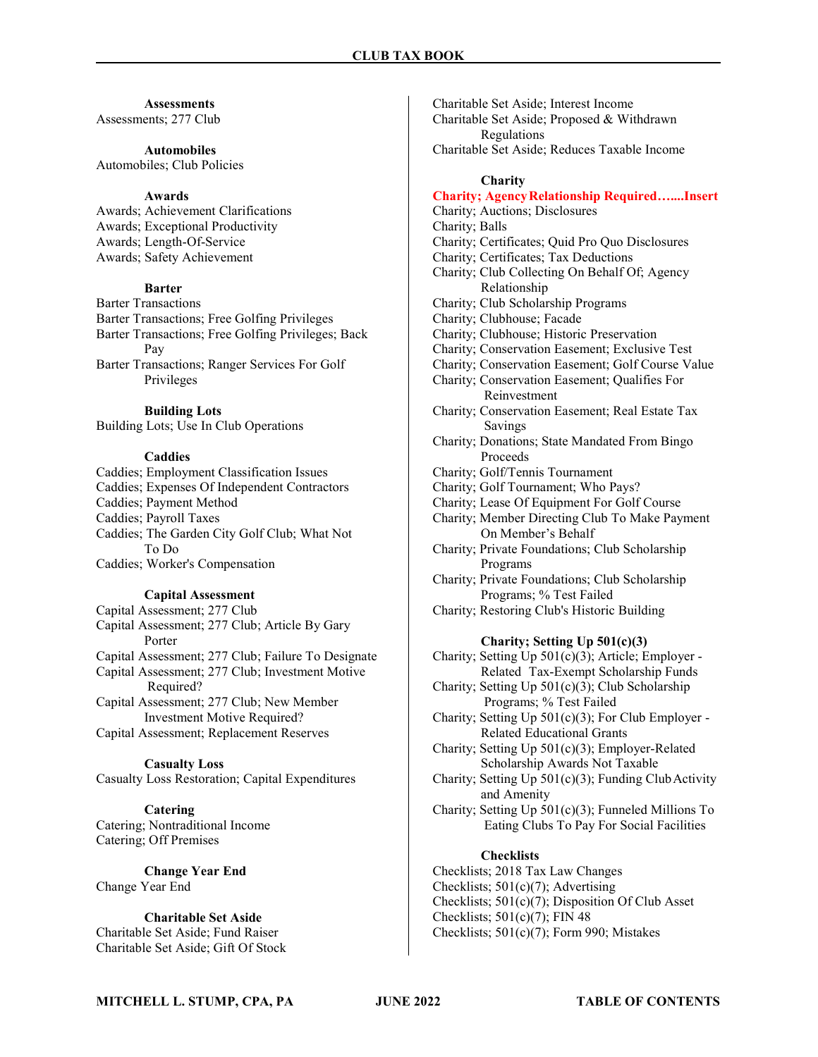#### **Assessments**

Assessments; 277 Club

#### Automobiles

Automobiles; Club Policies

## Awards

Awards; Achievement Clarifications Awards; Exceptional Productivity Awards; Length-Of-Service Awards; Safety Achievement

## Barter

Barter Transactions

Barter Transactions; Free Golfing Privileges Barter Transactions; Free Golfing Privileges; Back Pay Barter Transactions; Ranger Services For Golf

Privileges

## Building Lots

Building Lots; Use In Club Operations

## **Caddies**

Caddies; Employment Classification Issues Caddies; Expenses Of Independent Contractors Caddies; Payment Method Caddies; Payroll Taxes Caddies; The Garden City Golf Club; What Not To Do Caddies; Worker's Compensation

## Capital Assessment

Capital Assessment; 277 Club Capital Assessment; 277 Club; Article By Gary Porter Capital Assessment; 277 Club; Failure To Designate Capital Assessment; 277 Club; Investment Motive Required? Capital Assessment; 277 Club; New Member Investment Motive Required? Capital Assessment; Replacement Reserves

## Casualty Loss

Casualty Loss Restoration; Capital Expenditures

Catering Catering; Nontraditional Income Catering; Off Premises

Change Year End Change Year End

Charitable Set Aside Charitable Set Aside; Fund Raiser Charitable Set Aside; Gift Of Stock Charitable Set Aside; Interest Income Charitable Set Aside; Proposed & Withdrawn Regulations Charitable Set Aside; Reduces Taxable Income

#### **Charity**

## Charity; Agency Relationship Required…....Insert

Charity; Auctions; Disclosures Charity; Balls

Charity; Certificates; Quid Pro Quo Disclosures

- Charity; Certificates; Tax Deductions
- Charity; Club Collecting On Behalf Of; Agency Relationship

Charity; Club Scholarship Programs

Charity; Clubhouse; Facade

Charity; Clubhouse; Historic Preservation

- Charity; Conservation Easement; Exclusive Test
- Charity; Conservation Easement; Golf Course Value
- Charity; Conservation Easement; Qualifies For Reinvestment

Charity; Conservation Easement; Real Estate Tax Savings

Charity; Donations; State Mandated From Bingo Proceeds

- Charity; Golf/Tennis Tournament
- Charity; Golf Tournament; Who Pays?
- Charity; Lease Of Equipment For Golf Course
- Charity; Member Directing Club To Make Payment On Member's Behalf
- Charity; Private Foundations; Club Scholarship Programs
- Charity; Private Foundations; Club Scholarship Programs; % Test Failed
- Charity; Restoring Club's Historic Building

## Charity; Setting Up 501(c)(3)

Charity; Setting Up 501(c)(3); Article; Employer - Related Tax-Exempt Scholarship Funds

- Charity; Setting Up 501(c)(3); Club Scholarship Programs; % Test Failed
- Charity; Setting Up 501(c)(3); For Club Employer Related Educational Grants

Charity; Setting Up 501(c)(3); Employer-Related Scholarship Awards Not Taxable

- Charity; Setting Up 501(c)(3); Funding Club Activity and Amenity
- Charity; Setting Up 501(c)(3); Funneled Millions To Eating Clubs To Pay For Social Facilities

## **Checklists**

Checklists; 2018 Tax Law Changes Checklists; 501(c)(7); Advertising Checklists; 501(c)(7); Disposition Of Club Asset Checklists;  $501(c)(7)$ ; FIN 48 Checklists; 501(c)(7); Form 990; Mistakes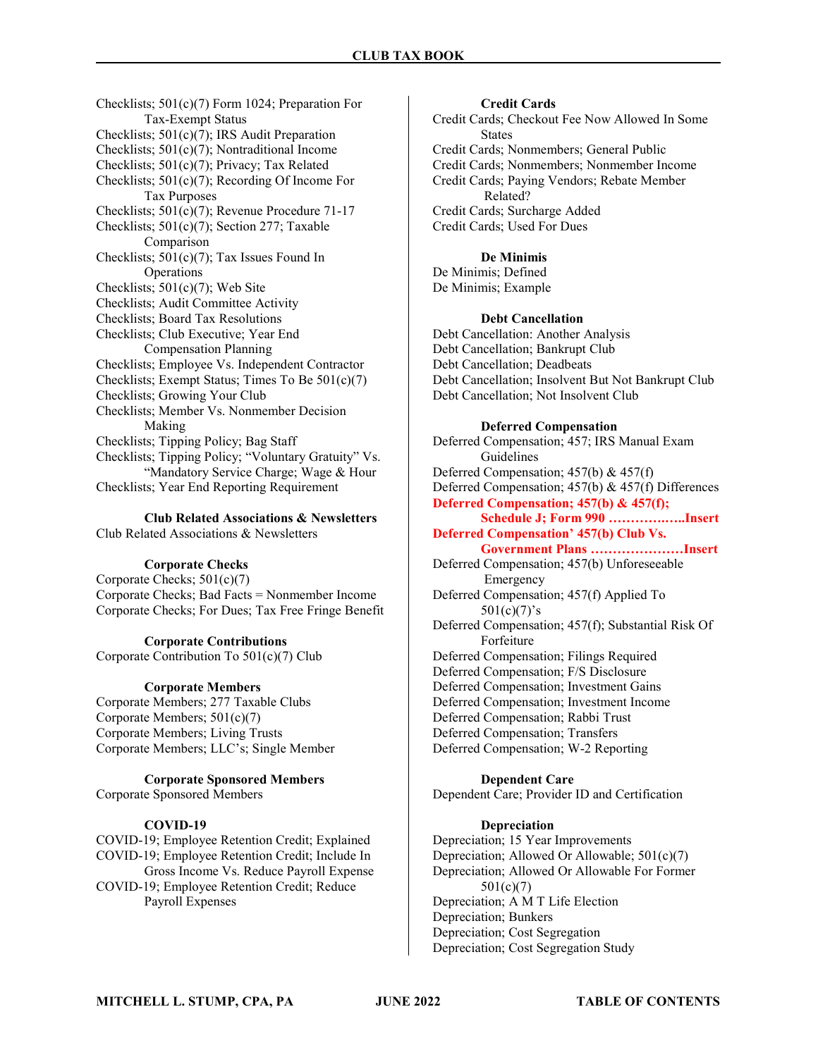Checklists; 501(c)(7) Form 1024; Preparation For Tax-Exempt Status Checklists; 501(c)(7); IRS Audit Preparation Checklists; 501(c)(7); Nontraditional Income Checklists; 501(c)(7); Privacy; Tax Related Checklists; 501(c)(7); Recording Of Income For Tax Purposes Checklists; 501(c)(7); Revenue Procedure 71-17 Checklists; 501(c)(7); Section 277; Taxable Comparison Checklists; 501(c)(7); Tax Issues Found In Operations Checklists; 501(c)(7); Web Site Checklists; Audit Committee Activity Checklists; Board Tax Resolutions Checklists; Club Executive; Year End Compensation Planning Checklists; Employee Vs. Independent Contractor Checklists; Exempt Status; Times To Be 501(c)(7) Checklists; Growing Your Club Checklists; Member Vs. Nonmember Decision Making Checklists; Tipping Policy; Bag Staff Checklists; Tipping Policy; "Voluntary Gratuity" Vs. "Mandatory Service Charge; Wage & Hour Checklists; Year End Reporting Requirement

Club Related Associations & Newsletters

Club Related Associations & Newsletters

## Corporate Checks

Corporate Checks; 501(c)(7) Corporate Checks; Bad Facts = Nonmember Income Corporate Checks; For Dues; Tax Free Fringe Benefit

## Corporate Contributions

Corporate Contribution To 501(c)(7) Club

#### Corporate Members

Corporate Members; 277 Taxable Clubs Corporate Members; 501(c)(7) Corporate Members; Living Trusts Corporate Members; LLC's; Single Member

## Corporate Sponsored Members

Corporate Sponsored Members

#### COVID-19

COVID-19; Employee Retention Credit; Explained COVID-19; Employee Retention Credit; Include In Gross Income Vs. Reduce Payroll Expense COVID-19; Employee Retention Credit; Reduce Payroll Expenses

Credit Cards Credit Cards; Checkout Fee Now Allowed In Some **States** Credit Cards; Nonmembers; General Public Credit Cards; Nonmembers; Nonmember Income Credit Cards; Paying Vendors; Rebate Member Related? Credit Cards; Surcharge Added Credit Cards; Used For Dues

## De Minimis

De Minimis; Defined De Minimis; Example

#### Debt Cancellation

Debt Cancellation: Another Analysis Debt Cancellation; Bankrupt Club Debt Cancellation; Deadbeats Debt Cancellation; Insolvent But Not Bankrupt Club Debt Cancellation; Not Insolvent Club

#### Deferred Compensation

Deferred Compensation; 457; IRS Manual Exam Guidelines Deferred Compensation; 457(b) & 457(f) Deferred Compensation; 457(b) & 457(f) Differences Deferred Compensation; 457(b) & 457(f); Schedule J; Form 990 ………….…..Insert Deferred Compensation' 457(b) Club Vs. Government Plans …………………Insert Deferred Compensation; 457(b) Unforeseeable Emergency Deferred Compensation; 457(f) Applied To  $501(c)(7)$ 's Deferred Compensation; 457(f); Substantial Risk Of Forfeiture Deferred Compensation; Filings Required Deferred Compensation; F/S Disclosure Deferred Compensation; Investment Gains Deferred Compensation; Investment Income Deferred Compensation; Rabbi Trust Deferred Compensation; Transfers Deferred Compensation; W-2 Reporting

## Dependent Care

Dependent Care; Provider ID and Certification

## Depreciation

Depreciation; 15 Year Improvements Depreciation; Allowed Or Allowable; 501(c)(7) Depreciation; Allowed Or Allowable For Former 501(c)(7) Depreciation; A M T Life Election Depreciation; Bunkers Depreciation; Cost Segregation Depreciation; Cost Segregation Study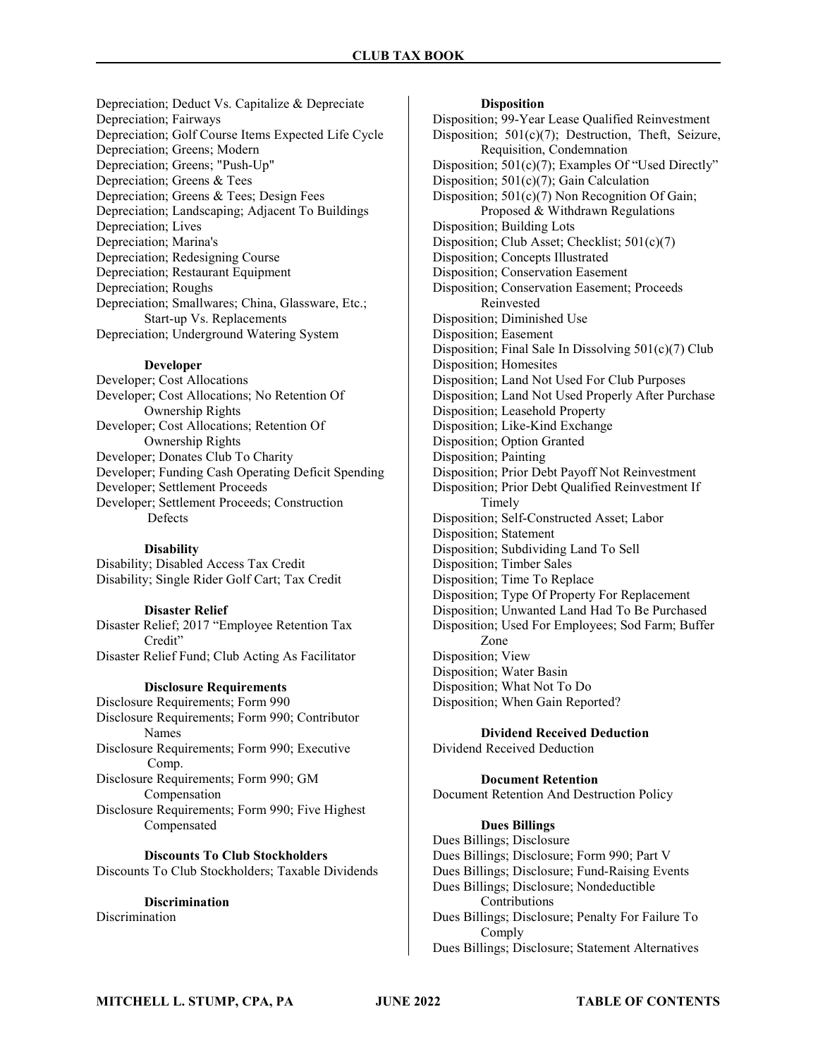Depreciation; Deduct Vs. Capitalize & Depreciate Depreciation; Fairways Depreciation; Golf Course Items Expected Life Cycle Depreciation; Greens; Modern Depreciation; Greens; "Push-Up" Depreciation; Greens & Tees Depreciation; Greens & Tees; Design Fees Depreciation; Landscaping; Adjacent To Buildings Depreciation; Lives Depreciation; Marina's Depreciation; Redesigning Course Depreciation; Restaurant Equipment Depreciation; Roughs Depreciation; Smallwares; China, Glassware, Etc.; Start-up Vs. Replacements Depreciation; Underground Watering System

#### Developer

Developer; Cost Allocations Developer; Cost Allocations; No Retention Of Ownership Rights Developer; Cost Allocations; Retention Of Ownership Rights Developer; Donates Club To Charity Developer; Funding Cash Operating Deficit Spending Developer; Settlement Proceeds Developer; Settlement Proceeds; Construction Defects

#### **Disability**

Disability; Disabled Access Tax Credit Disability; Single Rider Golf Cart; Tax Credit

#### Disaster Relief

Disaster Relief; 2017 "Employee Retention Tax Credit" Disaster Relief Fund; Club Acting As Facilitator

#### Disclosure Requirements

Disclosure Requirements; Form 990 Disclosure Requirements; Form 990; Contributor Names Disclosure Requirements; Form 990; Executive Comp. Disclosure Requirements; Form 990; GM Compensation Disclosure Requirements; Form 990; Five Highest Compensated

Discounts To Club Stockholders Discounts To Club Stockholders; Taxable Dividends

**Discrimination** Discrimination

## **Disposition**

Disposition; 99-Year Lease Qualified Reinvestment Disposition; 501(c)(7); Destruction, Theft, Seizure, Requisition, Condemnation Disposition; 501(c)(7); Examples Of "Used Directly" Disposition; 501(c)(7); Gain Calculation Disposition; 501(c)(7) Non Recognition Of Gain; Proposed & Withdrawn Regulations Disposition; Building Lots Disposition; Club Asset; Checklist; 501(c)(7) Disposition; Concepts Illustrated Disposition; Conservation Easement Disposition; Conservation Easement; Proceeds Reinvested Disposition; Diminished Use Disposition; Easement Disposition; Final Sale In Dissolving 501(c)(7) Club Disposition; Homesites Disposition; Land Not Used For Club Purposes Disposition; Land Not Used Properly After Purchase Disposition; Leasehold Property Disposition; Like-Kind Exchange Disposition; Option Granted Disposition; Painting Disposition; Prior Debt Payoff Not Reinvestment Disposition; Prior Debt Qualified Reinvestment If Timely Disposition; Self-Constructed Asset; Labor Disposition; Statement Disposition; Subdividing Land To Sell Disposition; Timber Sales Disposition; Time To Replace Disposition; Type Of Property For Replacement Disposition; Unwanted Land Had To Be Purchased Disposition; Used For Employees; Sod Farm; Buffer Zone Disposition; View Disposition; Water Basin Disposition; What Not To Do Disposition; When Gain Reported?

Dividend Received Deduction Dividend Received Deduction

#### Document Retention Document Retention And Destruction Policy

## Dues Billings

Dues Billings; Disclosure Dues Billings; Disclosure; Form 990; Part V Dues Billings; Disclosure; Fund-Raising Events Dues Billings; Disclosure; Nondeductible Contributions Dues Billings; Disclosure; Penalty For Failure To Comply Dues Billings; Disclosure; Statement Alternatives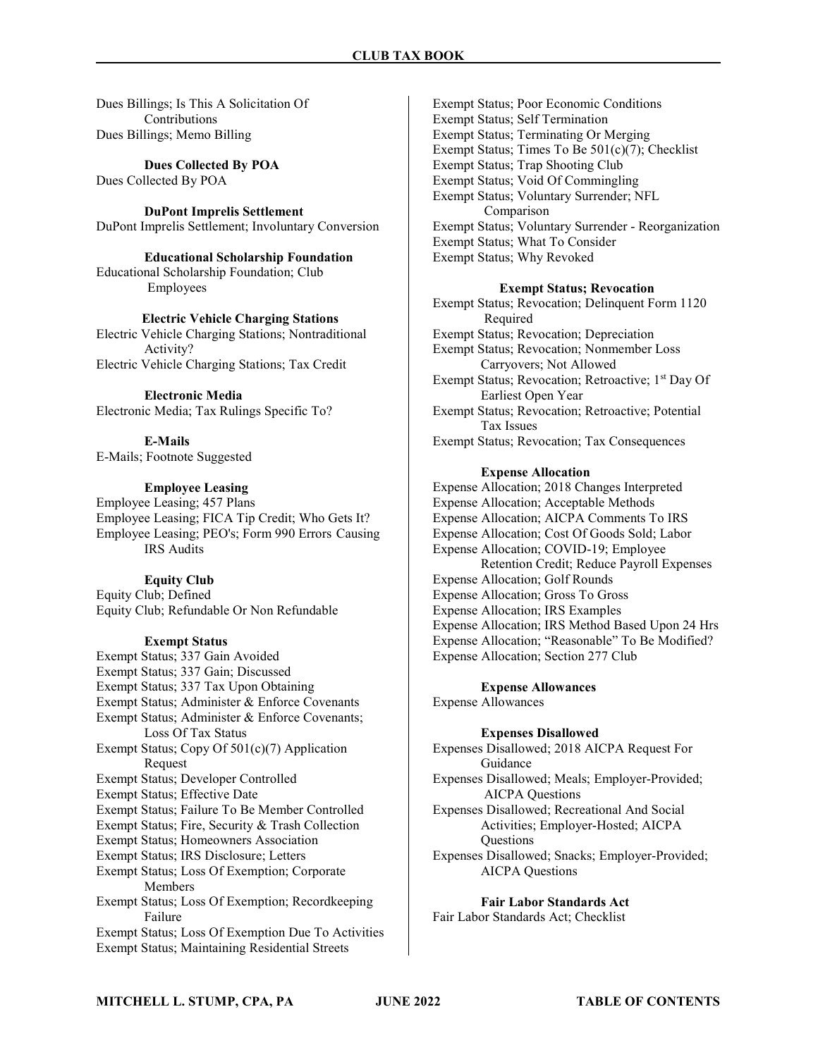Dues Billings; Is This A Solicitation Of **Contributions** Dues Billings; Memo Billing

Dues Collected By POA Dues Collected By POA

DuPont Imprelis Settlement DuPont Imprelis Settlement; Involuntary Conversion

Educational Scholarship Foundation Educational Scholarship Foundation; Club Employees

## Electric Vehicle Charging Stations

Electric Vehicle Charging Stations; Nontraditional Activity? Electric Vehicle Charging Stations; Tax Credit

Electronic Media Electronic Media; Tax Rulings Specific To?

E-Mails E-Mails; Footnote Suggested

## Employee Leasing

Employee Leasing; 457 Plans Employee Leasing; FICA Tip Credit; Who Gets It? Employee Leasing; PEO's; Form 990 Errors Causing IRS Audits

#### Equity Club

Equity Club; Defined Equity Club; Refundable Or Non Refundable

#### Exempt Status

Exempt Status; 337 Gain Avoided Exempt Status; 337 Gain; Discussed Exempt Status; 337 Tax Upon Obtaining Exempt Status; Administer & Enforce Covenants Exempt Status; Administer & Enforce Covenants; Loss Of Tax Status Exempt Status; Copy Of 501(c)(7) Application Request Exempt Status; Developer Controlled Exempt Status; Effective Date Exempt Status; Failure To Be Member Controlled Exempt Status; Fire, Security & Trash Collection Exempt Status; Homeowners Association Exempt Status; IRS Disclosure; Letters Exempt Status; Loss Of Exemption; Corporate Members Exempt Status; Loss Of Exemption; Recordkeeping Failure Exempt Status; Loss Of Exemption Due To Activities Exempt Status; Maintaining Residential Streets

Exempt Status; Poor Economic Conditions Exempt Status; Self Termination Exempt Status; Terminating Or Merging Exempt Status; Times To Be 501(c)(7); Checklist Exempt Status; Trap Shooting Club Exempt Status; Void Of Commingling Exempt Status; Voluntary Surrender; NFL Comparison Exempt Status; Voluntary Surrender - Reorganization Exempt Status; What To Consider Exempt Status; Why Revoked

#### Exempt Status; Revocation

Exempt Status; Revocation; Delinquent Form 1120 Required Exempt Status; Revocation; Depreciation Exempt Status; Revocation; Nonmember Loss Carryovers; Not Allowed Exempt Status; Revocation; Retroactive; 1<sup>st</sup> Day Of Earliest Open Year Exempt Status; Revocation; Retroactive; Potential Tax Issues Exempt Status; Revocation; Tax Consequences

#### Expense Allocation

Expense Allocation; 2018 Changes Interpreted Expense Allocation; Acceptable Methods Expense Allocation; AICPA Comments To IRS Expense Allocation; Cost Of Goods Sold; Labor Expense Allocation; COVID-19; Employee Retention Credit; Reduce Payroll Expenses Expense Allocation; Golf Rounds Expense Allocation; Gross To Gross Expense Allocation; IRS Examples Expense Allocation; IRS Method Based Upon 24 Hrs Expense Allocation; "Reasonable" To Be Modified? Expense Allocation; Section 277 Club

Expense Allowances Expense Allowances

## Expenses Disallowed

Expenses Disallowed; 2018 AICPA Request For Guidance Expenses Disallowed; Meals; Employer-Provided; AICPA Questions Expenses Disallowed; Recreational And Social Activities; Employer-Hosted; AICPA **Ouestions** Expenses Disallowed; Snacks; Employer-Provided; AICPA Questions

Fair Labor Standards Act Fair Labor Standards Act; Checklist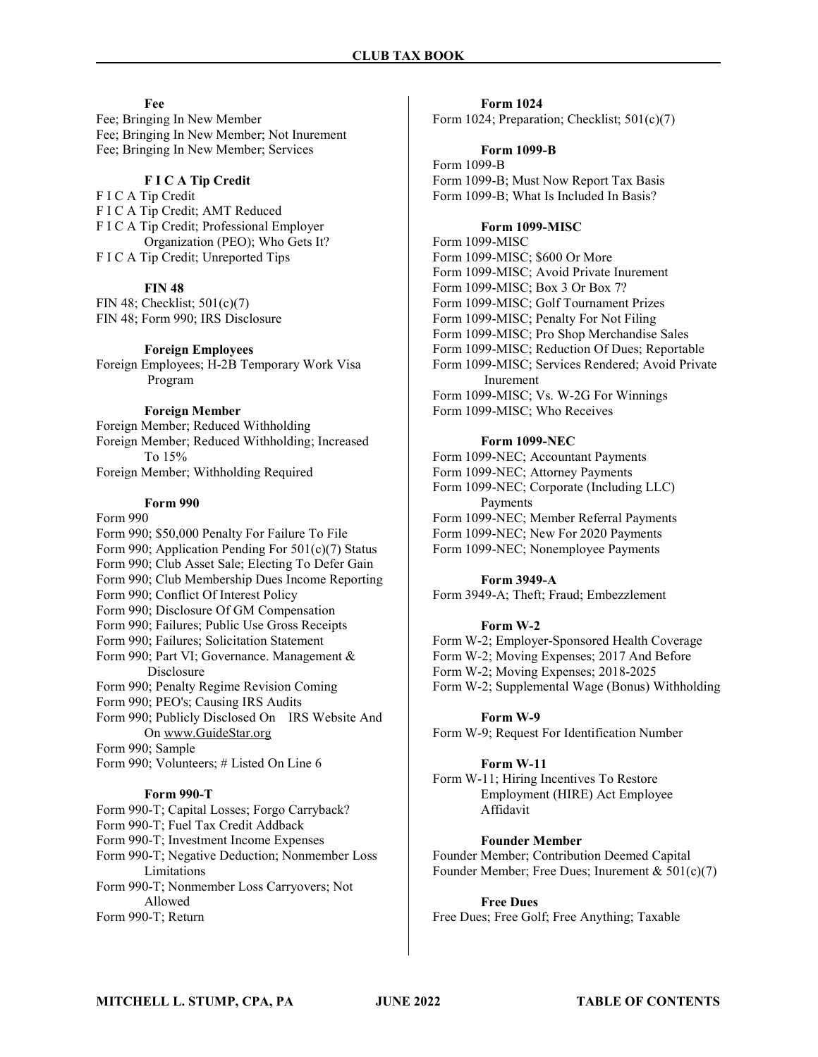#### Fee

Fee; Bringing In New Member Fee; Bringing In New Member; Not Inurement Fee; Bringing In New Member; Services

## F I C A Tip Credit

F I C A Tip Credit F I C A Tip Credit; AMT Reduced F I C A Tip Credit; Professional Employer Organization (PEO); Who Gets It? F I C A Tip Credit; Unreported Tips

## **FIN 48**

FIN 48; Checklist; 501(c)(7) FIN 48; Form 990; IRS Disclosure

#### Foreign Employees

Foreign Employees; H-2B Temporary Work Visa Program

## Foreign Member

Foreign Member; Reduced Withholding Foreign Member; Reduced Withholding; Increased To 15% Foreign Member; Withholding Required

## Form 990

#### Form 990

Form 990; \$50,000 Penalty For Failure To File Form 990; Application Pending For 501(c)(7) Status Form 990; Club Asset Sale; Electing To Defer Gain Form 990; Club Membership Dues Income Reporting Form 990; Conflict Of Interest Policy Form 990; Disclosure Of GM Compensation Form 990; Failures; Public Use Gross Receipts

Form 990; Failures; Solicitation Statement

- Form 990; Part VI; Governance. Management & Disclosure
- Form 990; Penalty Regime Revision Coming

Form 990; PEO's; Causing IRS Audits

Form 990; Publicly Disclosed On IRS Website And On www.GuideStar.org

Form 990; Sample

Form 990; Volunteers; # Listed On Line 6

## Form 990-T

Form 990-T; Capital Losses; Forgo Carryback? Form 990-T; Fuel Tax Credit Addback Form 990-T; Investment Income Expenses Form 990-T; Negative Deduction; Nonmember Loss Limitations Form 990-T; Nonmember Loss Carryovers; Not Allowed

Form 990-T; Return

Form 1024 Form 1024; Preparation; Checklist; 501(c)(7)

## Form 1099-B

Form 1099-B Form 1099-B; Must Now Report Tax Basis Form 1099-B; What Is Included In Basis?

## Form 1099-MISC

Form 1099-MISC Form 1099-MISC; \$600 Or More Form 1099-MISC; Avoid Private Inurement Form 1099-MISC; Box 3 Or Box 7? Form 1099-MISC; Golf Tournament Prizes Form 1099-MISC; Penalty For Not Filing Form 1099-MISC; Pro Shop Merchandise Sales Form 1099-MISC; Reduction Of Dues; Reportable Form 1099-MISC; Services Rendered; Avoid Private Inurement Form 1099-MISC; Vs. W-2G For Winnings Form 1099-MISC; Who Receives

#### Form 1099-NEC

Form 1099-NEC; Accountant Payments Form 1099-NEC; Attorney Payments Form 1099-NEC; Corporate (Including LLC) Payments Form 1099-NEC; Member Referral Payments Form 1099-NEC; New For 2020 Payments Form 1099-NEC; Nonemployee Payments

## Form 3949-A

Form 3949-A; Theft; Fraud; Embezzlement

## Form W-2

Form W-2; Employer-Sponsored Health Coverage Form W-2; Moving Expenses; 2017 And Before Form W-2; Moving Expenses; 2018-2025 Form W-2; Supplemental Wage (Bonus) Withholding

## Form W-9

Form W-9; Request For Identification Number

## Form W-11

Form W-11; Hiring Incentives To Restore Employment (HIRE) Act Employee Affidavit

## Founder Member

Founder Member; Contribution Deemed Capital Founder Member; Free Dues; Inurement & 501(c)(7)

#### Free Dues

Free Dues; Free Golf; Free Anything; Taxable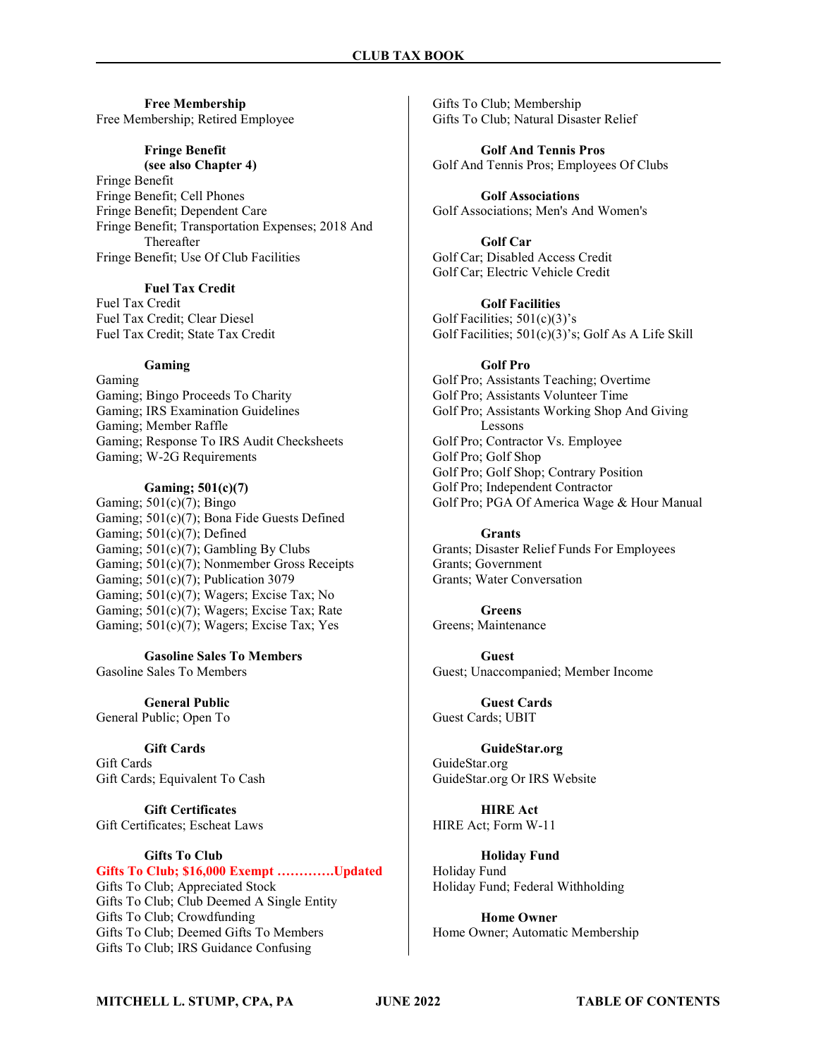#### Free Membership Free Membership; Retired Employee

## Fringe Benefit

(see also Chapter 4)

Fringe Benefit Fringe Benefit; Cell Phones Fringe Benefit; Dependent Care Fringe Benefit; Transportation Expenses; 2018 And Thereafter Fringe Benefit; Use Of Club Facilities

## Fuel Tax Credit

Fuel Tax Credit Fuel Tax Credit; Clear Diesel Fuel Tax Credit; State Tax Credit

#### Gaming

Gaming Gaming; Bingo Proceeds To Charity Gaming; IRS Examination Guidelines Gaming; Member Raffle Gaming; Response To IRS Audit Checksheets Gaming; W-2G Requirements

## Gaming; 501(c)(7)

Gaming;  $501(c)(7)$ ; Bingo Gaming; 501(c)(7); Bona Fide Guests Defined Gaming; 501(c)(7); Defined Gaming; 501(c)(7); Gambling By Clubs Gaming; 501(c)(7); Nonmember Gross Receipts Gaming; 501(c)(7); Publication 3079 Gaming;  $501(c)(7)$ ; Wagers; Excise Tax; No Gaming; 501(c)(7); Wagers; Excise Tax; Rate Gaming; 501(c)(7); Wagers; Excise Tax; Yes

Gasoline Sales To Members Gasoline Sales To Members

General Public General Public; Open To

Gift Cards Gift Cards Gift Cards; Equivalent To Cash

Gift Certificates Gift Certificates; Escheat Laws

## Gifts To Club

## Gifts To Club; \$16,000 Exempt ………….Updated

Gifts To Club; Appreciated Stock Gifts To Club; Club Deemed A Single Entity Gifts To Club; Crowdfunding Gifts To Club; Deemed Gifts To Members Gifts To Club; IRS Guidance Confusing

Gifts To Club; Membership Gifts To Club; Natural Disaster Relief

Golf And Tennis Pros Golf And Tennis Pros; Employees Of Clubs

Golf Associations Golf Associations; Men's And Women's

Golf Car Golf Car; Disabled Access Credit Golf Car; Electric Vehicle Credit

Golf Facilities Golf Facilities;  $501(c)(3)$ 's Golf Facilities; 501(c)(3)'s; Golf As A Life Skill

#### Golf Pro

Golf Pro; Assistants Teaching; Overtime Golf Pro; Assistants Volunteer Time Golf Pro; Assistants Working Shop And Giving Lessons Golf Pro; Contractor Vs. Employee Golf Pro; Golf Shop Golf Pro; Golf Shop; Contrary Position Golf Pro; Independent Contractor Golf Pro; PGA Of America Wage & Hour Manual

Grants Grants; Disaster Relief Funds For Employees Grants; Government Grants; Water Conversation

Greens Greens; Maintenance

**Guest** Guest; Unaccompanied; Member Income

Guest Cards Guest Cards; UBIT

GuideStar.org GuideStar.org GuideStar.org Or IRS Website

HIRE Act HIRE Act; Form W-11

Holiday Fund Holiday Fund Holiday Fund; Federal Withholding

Home Owner Home Owner; Automatic Membership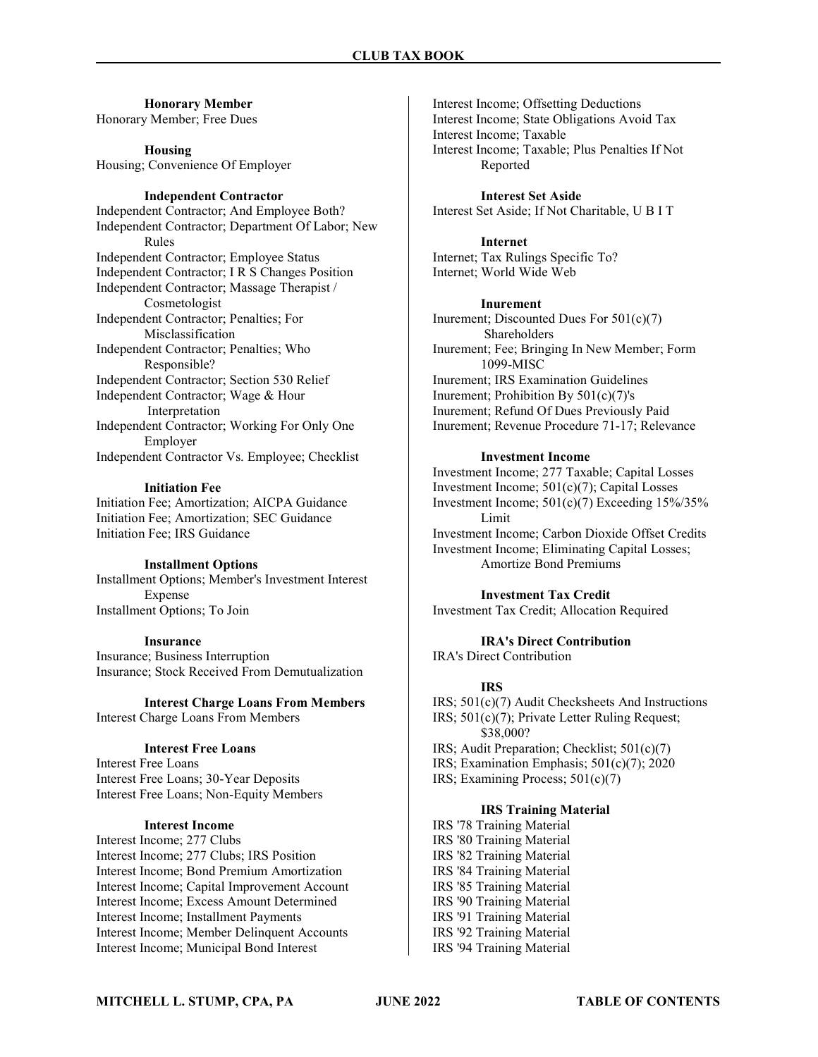Honorary Member Honorary Member; Free Dues

Housing Housing; Convenience Of Employer

#### Independent Contractor

Independent Contractor; And Employee Both? Independent Contractor; Department Of Labor; New Rules Independent Contractor; Employee Status Independent Contractor; I R S Changes Position Independent Contractor; Massage Therapist / Cosmetologist Independent Contractor; Penalties; For Misclassification Independent Contractor; Penalties; Who Responsible? Independent Contractor; Section 530 Relief Independent Contractor; Wage & Hour Interpretation Independent Contractor; Working For Only One Employer Independent Contractor Vs. Employee; Checklist

#### Initiation Fee

Initiation Fee; Amortization; AICPA Guidance Initiation Fee; Amortization; SEC Guidance Initiation Fee; IRS Guidance

## Installment Options

Installment Options; Member's Investment Interest Expense Installment Options; To Join

#### Insurance

Insurance; Business Interruption Insurance; Stock Received From Demutualization

Interest Charge Loans From Members Interest Charge Loans From Members

## Interest Free Loans

Interest Free Loans Interest Free Loans; 30-Year Deposits Interest Free Loans; Non-Equity Members

## Interest Income

Interest Income; 277 Clubs Interest Income; 277 Clubs; IRS Position Interest Income; Bond Premium Amortization Interest Income; Capital Improvement Account Interest Income; Excess Amount Determined Interest Income; Installment Payments Interest Income; Member Delinquent Accounts Interest Income; Municipal Bond Interest

Interest Income; Offsetting Deductions Interest Income; State Obligations Avoid Tax Interest Income; Taxable Interest Income; Taxable; Plus Penalties If Not Reported

Interest Set Aside Interest Set Aside; If Not Charitable, U B I T

Internet Internet; Tax Rulings Specific To? Internet; World Wide Web

Inurement

Inurement; Discounted Dues For 501(c)(7) Shareholders Inurement; Fee; Bringing In New Member; Form 1099-MISC Inurement; IRS Examination Guidelines Inurement; Prohibition By 501(c)(7)'s Inurement; Refund Of Dues Previously Paid Inurement; Revenue Procedure 71-17; Relevance

#### Investment Income

Investment Income; 277 Taxable; Capital Losses Investment Income; 501(c)(7); Capital Losses Investment Income; 501(c)(7) Exceeding 15%/35% Limit Investment Income; Carbon Dioxide Offset Credits Investment Income; Eliminating Capital Losses; Amortize Bond Premiums

Investment Tax Credit Investment Tax Credit; Allocation Required

IRA's Direct Contribution IRA's Direct Contribution

## IRS

IRS; 501(c)(7) Audit Checksheets And Instructions IRS; 501(c)(7); Private Letter Ruling Request; \$38,000? IRS; Audit Preparation; Checklist; 501(c)(7) IRS; Examination Emphasis; 501(c)(7); 2020 IRS; Examining Process; 501(c)(7)

## IRS Training Material

IRS '78 Training Material IRS '80 Training Material IRS '82 Training Material IRS '84 Training Material IRS '85 Training Material IRS '90 Training Material IRS '91 Training Material IRS '92 Training Material IRS '94 Training Material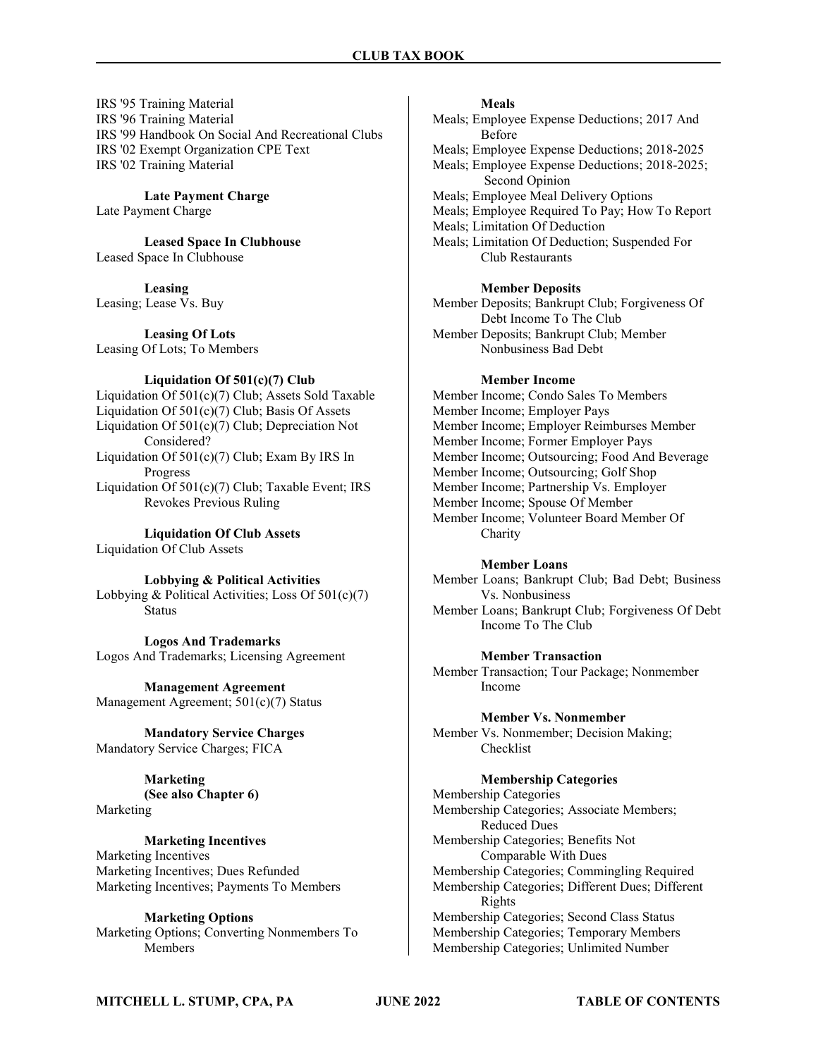IRS '95 Training Material IRS '96 Training Material IRS '99 Handbook On Social And Recreational Clubs IRS '02 Exempt Organization CPE Text IRS '02 Training Material

Late Payment Charge Late Payment Charge

Leased Space In Clubhouse Leased Space In Clubhouse

Leasing Leasing; Lease Vs. Buy

Leasing Of Lots Leasing Of Lots; To Members

Liquidation Of 501(c)(7) Club

Liquidation Of 501(c)(7) Club; Assets Sold Taxable Liquidation Of 501(c)(7) Club; Basis Of Assets Liquidation Of 501(c)(7) Club; Depreciation Not Considered? Liquidation Of 501(c)(7) Club; Exam By IRS In Progress Liquidation Of 501(c)(7) Club; Taxable Event; IRS Revokes Previous Ruling

Liquidation Of Club Assets Liquidation Of Club Assets

Lobbying & Political Activities Lobbying & Political Activities; Loss Of 501(c)(7) **Status** 

Logos And Trademarks Logos And Trademarks; Licensing Agreement

Management Agreement Management Agreement; 501(c)(7) Status

Mandatory Service Charges Mandatory Service Charges; FICA

## Marketing

(See also Chapter 6) Marketing

## Marketing Incentives

Marketing Incentives Marketing Incentives; Dues Refunded Marketing Incentives; Payments To Members

## Marketing Options

Marketing Options; Converting Nonmembers To Members

## Meals

Meals; Employee Expense Deductions; 2017 And Before Meals; Employee Expense Deductions; 2018-2025 Meals; Employee Expense Deductions; 2018-2025; Second Opinion Meals; Employee Meal Delivery Options Meals; Employee Required To Pay; How To Report Meals; Limitation Of Deduction Meals; Limitation Of Deduction; Suspended For Club Restaurants

## Member Deposits

Member Deposits; Bankrupt Club; Forgiveness Of Debt Income To The Club Member Deposits; Bankrupt Club; Member Nonbusiness Bad Debt

## Member Income

Member Income; Condo Sales To Members Member Income; Employer Pays Member Income; Employer Reimburses Member Member Income; Former Employer Pays Member Income; Outsourcing; Food And Beverage Member Income; Outsourcing; Golf Shop Member Income; Partnership Vs. Employer Member Income; Spouse Of Member Member Income; Volunteer Board Member Of Charity

## Member Loans

Member Loans; Bankrupt Club; Bad Debt; Business Vs. Nonbusiness Member Loans; Bankrupt Club; Forgiveness Of Debt

Income To The Club

## Member Transaction

Member Transaction; Tour Package; Nonmember Income

## Member Vs. Nonmember

Member Vs. Nonmember; Decision Making; Checklist

## Membership Categories

Membership Categories Membership Categories; Associate Members; Reduced Dues Membership Categories; Benefits Not Comparable With Dues Membership Categories; Commingling Required Membership Categories; Different Dues; Different Rights Membership Categories; Second Class Status Membership Categories; Temporary Members Membership Categories; Unlimited Number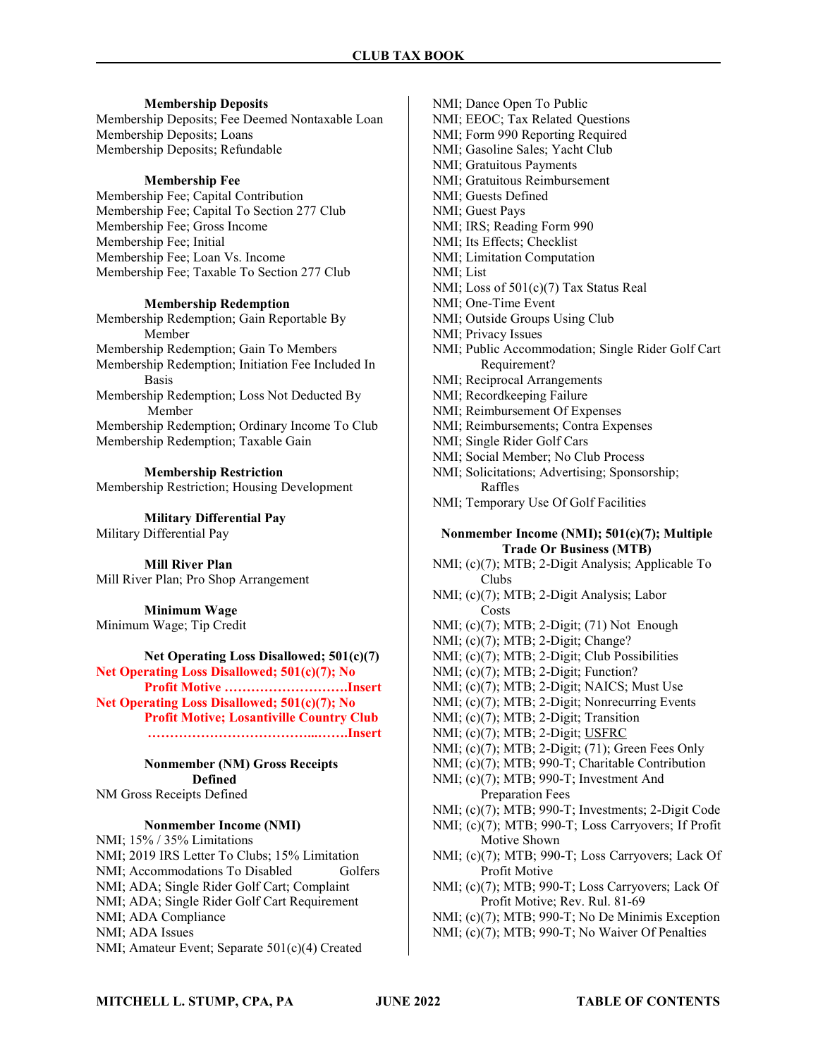## Membership Deposits

Membership Deposits; Fee Deemed Nontaxable Loan Membership Deposits; Loans Membership Deposits; Refundable

## Membership Fee

Membership Fee; Capital Contribution Membership Fee; Capital To Section 277 Club Membership Fee; Gross Income Membership Fee; Initial Membership Fee; Loan Vs. Income Membership Fee; Taxable To Section 277 Club

## Membership Redemption

Membership Redemption; Gain Reportable By Member Membership Redemption; Gain To Members Membership Redemption; Initiation Fee Included In Basis Membership Redemption; Loss Not Deducted By Member Membership Redemption; Ordinary Income To Club Membership Redemption; Taxable Gain

Membership Restriction Membership Restriction; Housing Development

Military Differential Pay Military Differential Pay

Mill River Plan Mill River Plan; Pro Shop Arrangement

Minimum Wage Minimum Wage; Tip Credit

## Net Operating Loss Disallowed; 501(c)(7) Net Operating Loss Disallowed; 501(c)(7); No Profit Motive ……………………….Insert

Net Operating Loss Disallowed; 501(c)(7); No Profit Motive; Losantiville Country Club ………………………………...…….Insert

Nonmember (NM) Gross Receipts Defined NM Gross Receipts Defined

## Nonmember Income (NMI)

NMI; 15% / 35% Limitations NMI; 2019 IRS Letter To Clubs; 15% Limitation NMI; Accommodations To Disabled Golfers NMI; ADA; Single Rider Golf Cart; Complaint NMI; ADA; Single Rider Golf Cart Requirement NMI; ADA Compliance NMI; ADA Issues NMI; Amateur Event; Separate 501(c)(4) Created

NMI; Dance Open To Public NMI; EEOC; Tax Related Questions NMI; Form 990 Reporting Required NMI; Gasoline Sales; Yacht Club NMI; Gratuitous Payments NMI; Gratuitous Reimbursement NMI; Guests Defined NMI; Guest Pays NMI; IRS; Reading Form 990 NMI; Its Effects; Checklist NMI; Limitation Computation NMI; List NMI; Loss of 501(c)(7) Tax Status Real NMI; One-Time Event NMI; Outside Groups Using Club NMI; Privacy Issues NMI; Public Accommodation; Single Rider Golf Cart Requirement? NMI; Reciprocal Arrangements NMI; Recordkeeping Failure NMI; Reimbursement Of Expenses NMI; Reimbursements; Contra Expenses NMI; Single Rider Golf Cars NMI; Social Member; No Club Process NMI; Solicitations; Advertising; Sponsorship; Raffles NMI; Temporary Use Of Golf Facilities

## Nonmember Income (NMI); 501(c)(7); Multiple Trade Or Business (MTB)

NMI; (c)(7); MTB; 2-Digit Analysis; Applicable To Clubs NMI; (c)(7); MTB; 2-Digit Analysis; Labor Costs NMI; (c)(7); MTB; 2-Digit; (71) Not Enough NMI; (c)(7); MTB; 2-Digit; Change? NMI; (c)(7); MTB; 2-Digit; Club Possibilities NMI; (c)(7); MTB; 2-Digit; Function? NMI; (c)(7); MTB; 2-Digit; NAICS; Must Use NMI; (c)(7); MTB; 2-Digit; Nonrecurring Events NMI; (c)(7); MTB; 2-Digit; Transition NMI; (c)(7); MTB; 2-Digit; USFRC NMI; (c)(7); MTB; 2-Digit; (71); Green Fees Only NMI; (c)(7); MTB; 990-T; Charitable Contribution NMI; (c)(7); MTB; 990-T; Investment And Preparation Fees NMI; (c)(7); MTB; 990-T; Investments; 2-Digit Code NMI; (c)(7); MTB; 990-T; Loss Carryovers; If Profit Motive Shown NMI; (c)(7); MTB; 990-T; Loss Carryovers; Lack Of Profit Motive NMI; (c)(7); MTB; 990-T; Loss Carryovers; Lack Of Profit Motive; Rev. Rul. 81-69 NMI; (c)(7); MTB; 990-T; No De Minimis Exception

NMI; (c)(7); MTB; 990-T; No Waiver Of Penalties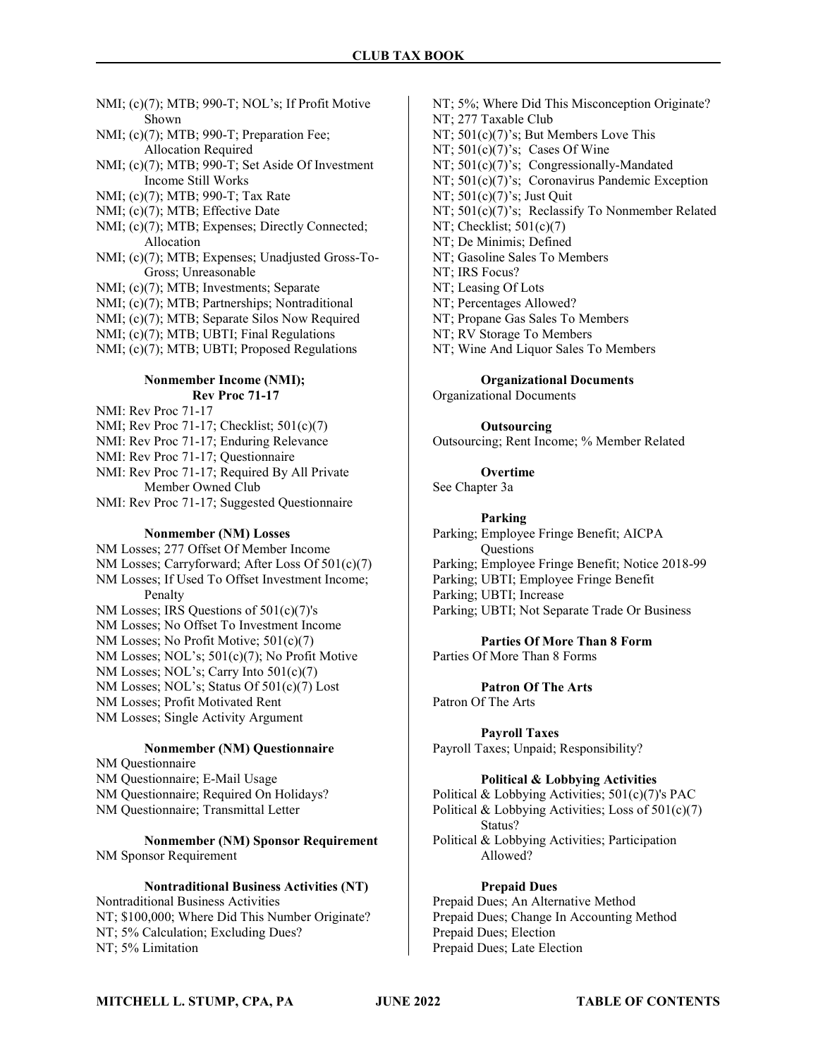NMI; (c)(7); MTB; 990-T; NOL's; If Profit Motive Shown

NMI; (c)(7); MTB; 990-T; Preparation Fee; Allocation Required

NMI; (c)(7); MTB; 990-T; Set Aside Of Investment Income Still Works

NMI; (c)(7); MTB; 990-T; Tax Rate

NMI; (c)(7); MTB; Effective Date

- NMI; (c)(7); MTB; Expenses; Directly Connected; Allocation
- NMI; (c)(7); MTB; Expenses; Unadjusted Gross-To- Gross; Unreasonable
- NMI; (c)(7); MTB; Investments; Separate
- NMI; (c)(7); MTB; Partnerships; Nontraditional
- NMI; (c)(7); MTB; Separate Silos Now Required
- NMI; (c)(7); MTB; UBTI; Final Regulations
- NMI; (c)(7); MTB; UBTI; Proposed Regulations

## Nonmember Income (NMI); Rev Proc 71-17

NMI: Rev Proc 71-17

NMI; Rev Proc 71-17; Checklist; 501(c)(7)

NMI: Rev Proc 71-17; Enduring Relevance

- NMI: Rev Proc 71-17; Questionnaire
- NMI: Rev Proc 71-17; Required By All Private Member Owned Club

NMI: Rev Proc 71-17; Suggested Questionnaire

#### Nonmember (NM) Losses

NM Losses; 277 Offset Of Member Income NM Losses; Carryforward; After Loss Of 501(c)(7) NM Losses; If Used To Offset Investment Income; Penalty NM Losses; IRS Questions of 501(c)(7)'s NM Losses; No Offset To Investment Income

NM Losses; No Profit Motive; 501(c)(7) NM Losses; NOL's; 501(c)(7); No Profit Motive NM Losses; NOL's; Carry Into 501(c)(7) NM Losses; NOL's; Status Of 501(c)(7) Lost

NM Losses; Profit Motivated Rent

NM Losses; Single Activity Argument

## Nonmember (NM) Questionnaire

NM Questionnaire NM Questionnaire; E-Mail Usage NM Questionnaire; Required On Holidays? NM Questionnaire; Transmittal Letter

## Nonmember (NM) Sponsor Requirement NM Sponsor Requirement

## Nontraditional Business Activities (NT) Nontraditional Business Activities

NT; \$100,000; Where Did This Number Originate? NT; 5% Calculation; Excluding Dues? NT; 5% Limitation

NT; 5%; Where Did This Misconception Originate? NT; 277 Taxable Club NT; 501(c)(7)'s; But Members Love This NT;  $501(c)(7)'s$ ; Cases Of Wine NT;  $501(c)(7)$ 's; Congressionally-Mandated NT; 501(c)(7)'s; Coronavirus Pandemic Exception NT; 501(c)(7)'s; Just Quit NT; 501(c)(7)'s; Reclassify To Nonmember Related NT; Checklist;  $501(c)(7)$ NT; De Minimis; Defined NT; Gasoline Sales To Members NT; IRS Focus? NT; Leasing Of Lots NT; Percentages Allowed? NT; Propane Gas Sales To Members NT; RV Storage To Members

NT; Wine And Liquor Sales To Members

Organizational Documents

Organizational Documents

## **Outsourcing**

Outsourcing; Rent Income; % Member Related

**Overtime** 

See Chapter 3a

## Parking

Parking; Employee Fringe Benefit; AICPA **Ouestions** Parking; Employee Fringe Benefit; Notice 2018-99 Parking; UBTI; Employee Fringe Benefit Parking; UBTI; Increase Parking; UBTI; Not Separate Trade Or Business

Parties Of More Than 8 Form Parties Of More Than 8 Forms

Patron Of The Arts Patron Of The Arts

## Payroll Taxes

Payroll Taxes; Unpaid; Responsibility?

## Political & Lobbying Activities

Political & Lobbying Activities; 501(c)(7)'s PAC

Political & Lobbying Activities; Loss of  $501(c)(7)$ Status?

Political & Lobbying Activities; Participation Allowed?

## Prepaid Dues

Prepaid Dues; An Alternative Method Prepaid Dues; Change In Accounting Method Prepaid Dues; Election Prepaid Dues; Late Election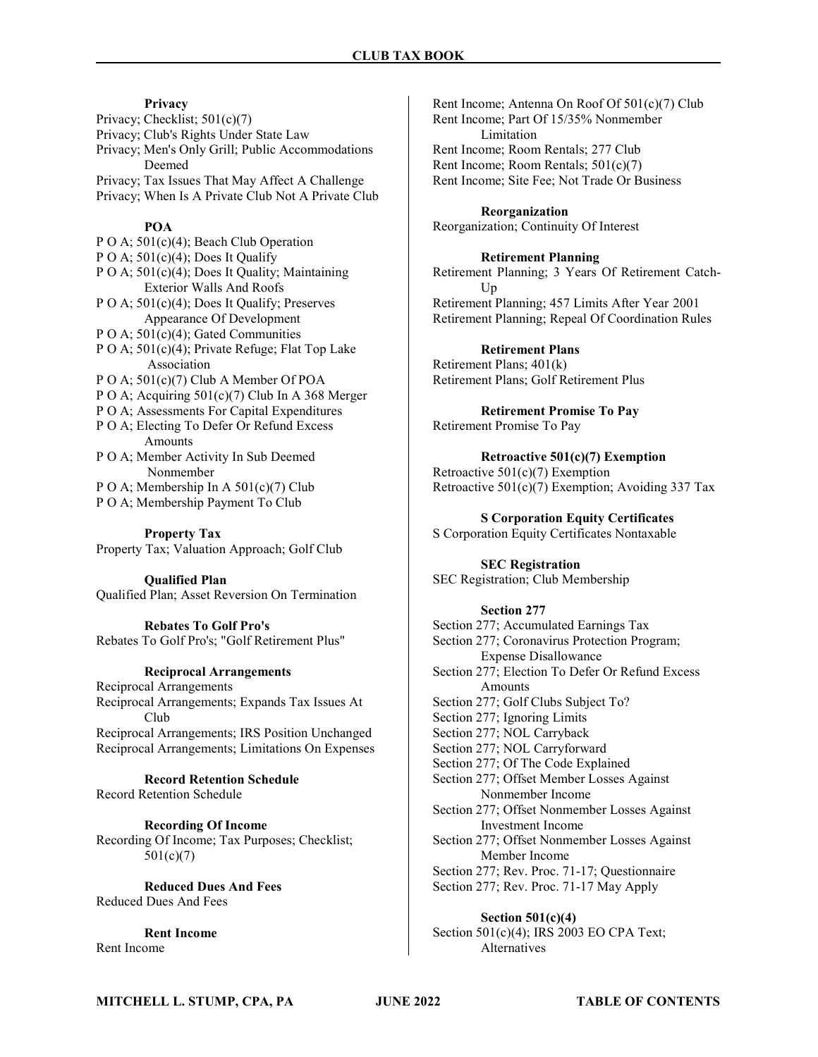## Privacy

Privacy; Checklist; 501(c)(7) Privacy; Club's Rights Under State Law Privacy; Men's Only Grill; Public Accommodations Deemed Privacy; Tax Issues That May Affect A Challenge Privacy; When Is A Private Club Not A Private Club

## POA

P O A; 501(c)(4); Beach Club Operation P O A;  $501(c)(4)$ ; Does It Qualify P O A; 501(c)(4); Does It Quality; Maintaining Exterior Walls And Roofs P O A; 501(c)(4); Does It Qualify; Preserves Appearance Of Development P O A;  $501(c)(4)$ ; Gated Communities P O A; 501(c)(4); Private Refuge; Flat Top Lake Association P O A; 501(c)(7) Club A Member Of POA P O A; Acquiring  $501(c)(7)$  Club In A 368 Merger P O A; Assessments For Capital Expenditures P O A; Electing To Defer Or Refund Excess Amounts P O A; Member Activity In Sub Deemed Nonmember P O A; Membership In A 501(c)(7) Club P O A; Membership Payment To Club

## Property Tax

Property Tax; Valuation Approach; Golf Club

## Qualified Plan

Qualified Plan; Asset Reversion On Termination

Rebates To Golf Pro's Rebates To Golf Pro's; "Golf Retirement Plus"

## Reciprocal Arrangements

Reciprocal Arrangements Reciprocal Arrangements; Expands Tax Issues At Club Reciprocal Arrangements; IRS Position Unchanged Reciprocal Arrangements; Limitations On Expenses

Record Retention Schedule Record Retention Schedule

Recording Of Income Recording Of Income; Tax Purposes; Checklist; 501(c)(7)

Reduced Dues And Fees Reduced Dues And Fees

Rent Income Rent Income

Rent Income; Antenna On Roof Of 501(c)(7) Club Rent Income; Part Of 15/35% Nonmember Limitation Rent Income; Room Rentals; 277 Club Rent Income; Room Rentals; 501(c)(7) Rent Income; Site Fee; Not Trade Or Business

Reorganization Reorganization; Continuity Of Interest

## Retirement Planning

Retirement Planning; 3 Years Of Retirement Catch- Up Retirement Planning; 457 Limits After Year 2001 Retirement Planning; Repeal Of Coordination Rules

Retirement Plans Retirement Plans; 401(k) Retirement Plans; Golf Retirement Plus

Retirement Promise To Pay Retirement Promise To Pay

Retroactive 501(c)(7) Exemption Retroactive 501(c)(7) Exemption Retroactive  $501(c)(7)$  Exemption; Avoiding 337 Tax

S Corporation Equity Certificates S Corporation Equity Certificates Nontaxable

SEC Registration SEC Registration; Club Membership

#### Section 277

Section 277; Accumulated Earnings Tax Section 277; Coronavirus Protection Program; Expense Disallowance Section 277; Election To Defer Or Refund Excess Amounts Section 277; Golf Clubs Subject To? Section 277; Ignoring Limits Section 277; NOL Carryback Section 277; NOL Carryforward Section 277; Of The Code Explained Section 277; Offset Member Losses Against Nonmember Income Section 277; Offset Nonmember Losses Against Investment Income Section 277; Offset Nonmember Losses Against Member Income Section 277; Rev. Proc. 71-17; Questionnaire Section 277; Rev. Proc. 71-17 May Apply

Section 501(c)(4) Section 501(c)(4); IRS 2003 EO CPA Text; Alternatives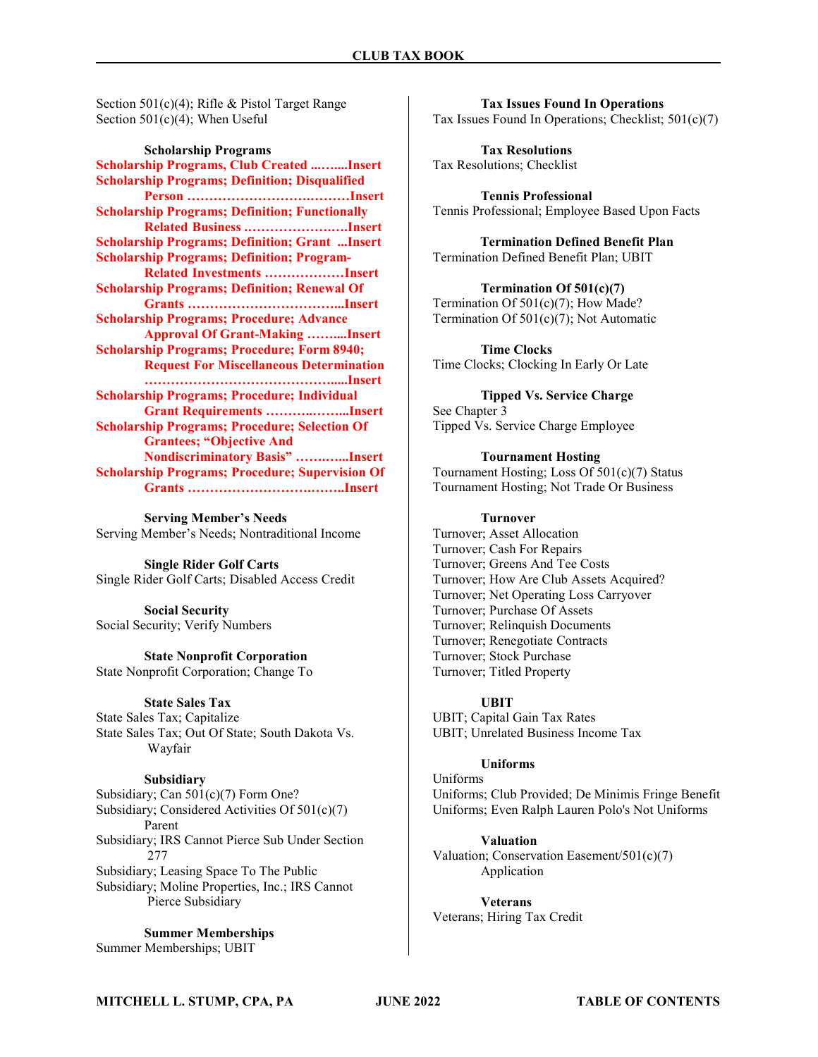Section 501(c)(4); Rifle & Pistol Target Range Section 501(c)(4); When Useful

#### Scholarship Programs

Scholarship Programs, Club Created ...…....Insert Scholarship Programs; Definition; Disqualified Person ……………………….………Insert Scholarship Programs; Definition; Functionally Related Business .……………….….Insert Scholarship Programs; Definition; Grant ...Insert Scholarship Programs; Definition; Program- Related Investments ………………Insert Scholarship Programs; Definition; Renewal Of Grants ……………………………...Insert Scholarship Programs; Procedure; Advance Approval Of Grant-Making ……....Insert Scholarship Programs; Procedure; Form 8940; Request For Miscellaneous Determination …………………………………….....Insert Scholarship Programs; Procedure; Individual Grant Requirements ………..……...Insert Scholarship Programs; Procedure; Selection Of Grantees; "Objective And Nondiscriminatory Basis" …….…...Insert Scholarship Programs; Procedure; Supervision Of Grants ……………………….……..Insert

Serving Member's Needs Serving Member's Needs; Nontraditional Income

Single Rider Golf Carts Single Rider Golf Carts; Disabled Access Credit

Social Security Social Security; Verify Numbers

State Nonprofit Corporation State Nonprofit Corporation; Change To

#### State Sales Tax

State Sales Tax; Capitalize State Sales Tax; Out Of State; South Dakota Vs. Wayfair

#### Subsidiary

Subsidiary; Can 501(c)(7) Form One? Subsidiary; Considered Activities Of 501(c)(7) Parent Subsidiary; IRS Cannot Pierce Sub Under Section 277 Subsidiary; Leasing Space To The Public Subsidiary; Moline Properties, Inc.; IRS Cannot Pierce Subsidiary

Summer Memberships Summer Memberships; UBIT

Tax Issues Found In Operations Tax Issues Found In Operations; Checklist; 501(c)(7)

Tax Resolutions Tax Resolutions; Checklist

Tennis Professional Tennis Professional; Employee Based Upon Facts

Termination Defined Benefit Plan Termination Defined Benefit Plan; UBIT

Termination Of 501(c)(7) Termination Of 501(c)(7); How Made? Termination Of 501(c)(7); Not Automatic

Time Clocks Time Clocks; Clocking In Early Or Late

Tipped Vs. Service Charge See Chapter 3 Tipped Vs. Service Charge Employee

Tournament Hosting Tournament Hosting; Loss Of 501(c)(7) Status Tournament Hosting; Not Trade Or Business

#### Turnover

Turnover; Asset Allocation Turnover; Cash For Repairs Turnover; Greens And Tee Costs Turnover; How Are Club Assets Acquired? Turnover; Net Operating Loss Carryover Turnover; Purchase Of Assets Turnover; Relinquish Documents Turnover; Renegotiate Contracts Turnover; Stock Purchase Turnover; Titled Property

#### UBIT

UBIT; Capital Gain Tax Rates UBIT; Unrelated Business Income Tax

## Uniforms

Uniforms Uniforms; Club Provided; De Minimis Fringe Benefit Uniforms; Even Ralph Lauren Polo's Not Uniforms

Valuation Valuation; Conservation Easement/501(c)(7) Application

Veterans Veterans; Hiring Tax Credit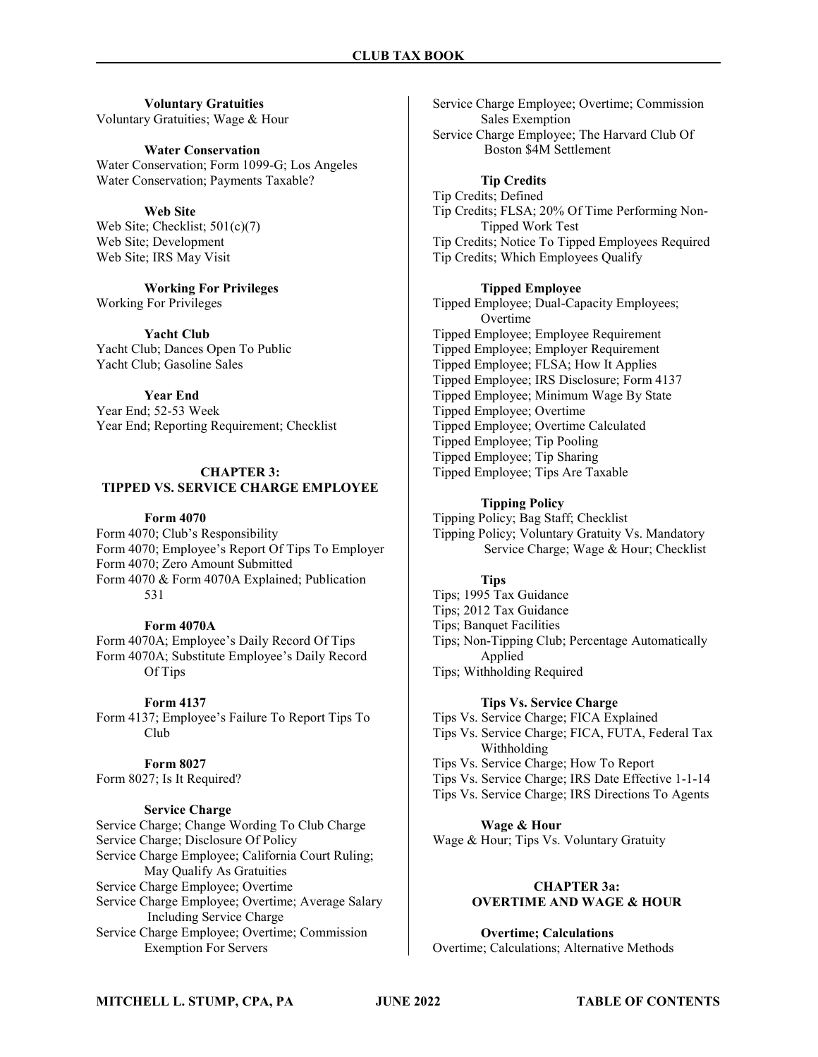## Voluntary Gratuities Voluntary Gratuities; Wage & Hour

#### Water Conservation

Water Conservation; Form 1099-G; Los Angeles Water Conservation; Payments Taxable?

## Web Site

Web Site; Checklist; 501(c)(7) Web Site; Development Web Site; IRS May Visit

Working For Privileges Working For Privileges

Yacht Club Yacht Club; Dances Open To Public Yacht Club; Gasoline Sales

Year End Year End; 52-53 Week Year End; Reporting Requirement; Checklist

## CHAPTER 3:

#### TIPPED VS. SERVICE CHARGE EMPLOYEE

## Form 4070

Form 4070; Club's Responsibility Form 4070; Employee's Report Of Tips To Employer Form 4070; Zero Amount Submitted Form 4070 & Form 4070A Explained; Publication 531

## Form 4070A

Form 4070A; Employee's Daily Record Of Tips Form 4070A; Substitute Employee's Daily Record Of Tips

## Form 4137

Form 4137; Employee's Failure To Report Tips To Club

Form 8027 Form 8027; Is It Required?

## Service Charge

Service Charge; Change Wording To Club Charge Service Charge; Disclosure Of Policy Service Charge Employee; California Court Ruling; May Qualify As Gratuities Service Charge Employee; Overtime Service Charge Employee; Overtime; Average Salary Including Service Charge Service Charge Employee; Overtime; Commission Exemption For Servers

Service Charge Employee; Overtime; Commission Sales Exemption Service Charge Employee; The Harvard Club Of Boston \$4M Settlement

## Tip Credits

Tip Credits; Defined Tip Credits; FLSA; 20% Of Time Performing Non- Tipped Work Test Tip Credits; Notice To Tipped Employees Required Tip Credits; Which Employees Qualify

## Tipped Employee

Tipped Employee; Dual-Capacity Employees; Overtime Tipped Employee; Employee Requirement Tipped Employee; Employer Requirement Tipped Employee; FLSA; How It Applies Tipped Employee; IRS Disclosure; Form 4137 Tipped Employee; Minimum Wage By State Tipped Employee; Overtime Tipped Employee; Overtime Calculated Tipped Employee; Tip Pooling Tipped Employee; Tip Sharing Tipped Employee; Tips Are Taxable

## Tipping Policy

Tipping Policy; Bag Staff; Checklist Tipping Policy; Voluntary Gratuity Vs. Mandatory Service Charge; Wage & Hour; Checklist

## Tips

Tips; 1995 Tax Guidance Tips; 2012 Tax Guidance Tips; Banquet Facilities Tips; Non-Tipping Club; Percentage Automatically Applied Tips; Withholding Required

## Tips Vs. Service Charge

Tips Vs. Service Charge; FICA Explained

Tips Vs. Service Charge; FICA, FUTA, Federal Tax Withholding

Tips Vs. Service Charge; How To Report

- Tips Vs. Service Charge; IRS Date Effective 1-1-14
- Tips Vs. Service Charge; IRS Directions To Agents

Wage & Hour

Wage & Hour; Tips Vs. Voluntary Gratuity

## CHAPTER 3a: OVERTIME AND WAGE & HOUR

Overtime; Calculations Overtime; Calculations; Alternative Methods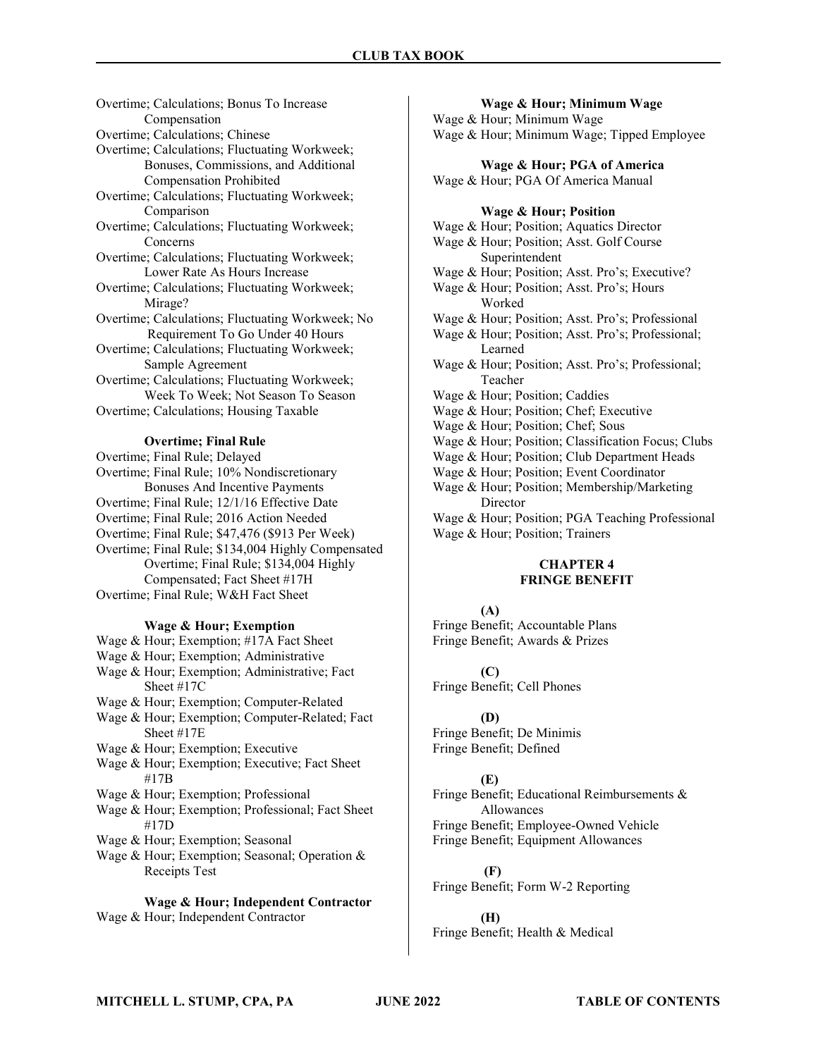Overtime; Calculations; Bonus To Increase Compensation Overtime; Calculations; Chinese Overtime; Calculations; Fluctuating Workweek; Bonuses, Commissions, and Additional Compensation Prohibited Overtime; Calculations; Fluctuating Workweek; Comparison Overtime; Calculations; Fluctuating Workweek; Concerns Overtime; Calculations; Fluctuating Workweek; Lower Rate As Hours Increase Overtime; Calculations; Fluctuating Workweek; Mirage? Overtime; Calculations; Fluctuating Workweek; No Requirement To Go Under 40 Hours Overtime; Calculations; Fluctuating Workweek; Sample Agreement Overtime; Calculations; Fluctuating Workweek; Week To Week; Not Season To Season Overtime; Calculations; Housing Taxable

## Overtime; Final Rule

Overtime; Final Rule; Delayed Overtime; Final Rule; 10% Nondiscretionary Bonuses And Incentive Payments Overtime; Final Rule; 12/1/16 Effective Date Overtime; Final Rule; 2016 Action Needed Overtime; Final Rule; \$47,476 (\$913 Per Week) Overtime; Final Rule; \$134,004 Highly Compensated Overtime; Final Rule; \$134,004 Highly Compensated; Fact Sheet #17H Overtime; Final Rule; W&H Fact Sheet

#### Wage & Hour; Exemption

Wage & Hour; Exemption; #17A Fact Sheet Wage & Hour; Exemption; Administrative Wage & Hour; Exemption; Administrative; Fact Sheet #17C Wage & Hour; Exemption; Computer-Related Wage & Hour; Exemption; Computer-Related; Fact Sheet #17E Wage & Hour; Exemption; Executive Wage & Hour; Exemption; Executive; Fact Sheet #17B Wage & Hour; Exemption; Professional Wage & Hour; Exemption; Professional; Fact Sheet #17D Wage & Hour; Exemption; Seasonal

Wage & Hour; Exemption; Seasonal; Operation & Receipts Test

Wage & Hour; Independent Contractor Wage & Hour; Independent Contractor

## Wage & Hour; Minimum Wage Wage & Hour; Minimum Wage Wage & Hour; Minimum Wage; Tipped Employee Wage & Hour; PGA of America

Wage & Hour; PGA Of America Manual

#### Wage & Hour; Position

Wage & Hour; Position; Aquatics Director Wage & Hour; Position; Asst. Golf Course Superintendent Wage & Hour; Position; Asst. Pro's; Executive? Wage & Hour; Position; Asst. Pro's; Hours Worked Wage & Hour; Position; Asst. Pro's; Professional Wage & Hour; Position; Asst. Pro's; Professional; Learned Wage & Hour; Position; Asst. Pro's; Professional; Teacher Wage & Hour; Position; Caddies Wage & Hour; Position; Chef; Executive Wage & Hour; Position; Chef; Sous Wage & Hour; Position; Classification Focus; Clubs Wage & Hour; Position; Club Department Heads Wage & Hour; Position; Event Coordinator Wage & Hour; Position; Membership/Marketing Director Wage & Hour; Position; PGA Teaching Professional Wage & Hour; Position; Trainers

## CHAPTER 4 FRINGE BENEFIT

## (A)

Fringe Benefit; Accountable Plans Fringe Benefit; Awards & Prizes

 $(C)$ Fringe Benefit; Cell Phones

## (D)

Fringe Benefit; De Minimis Fringe Benefit; Defined

#### (E)

Fringe Benefit; Educational Reimbursements & Allowances Fringe Benefit; Employee-Owned Vehicle

Fringe Benefit; Equipment Allowances

 (F) Fringe Benefit; Form W-2 Reporting

(H) Fringe Benefit; Health & Medical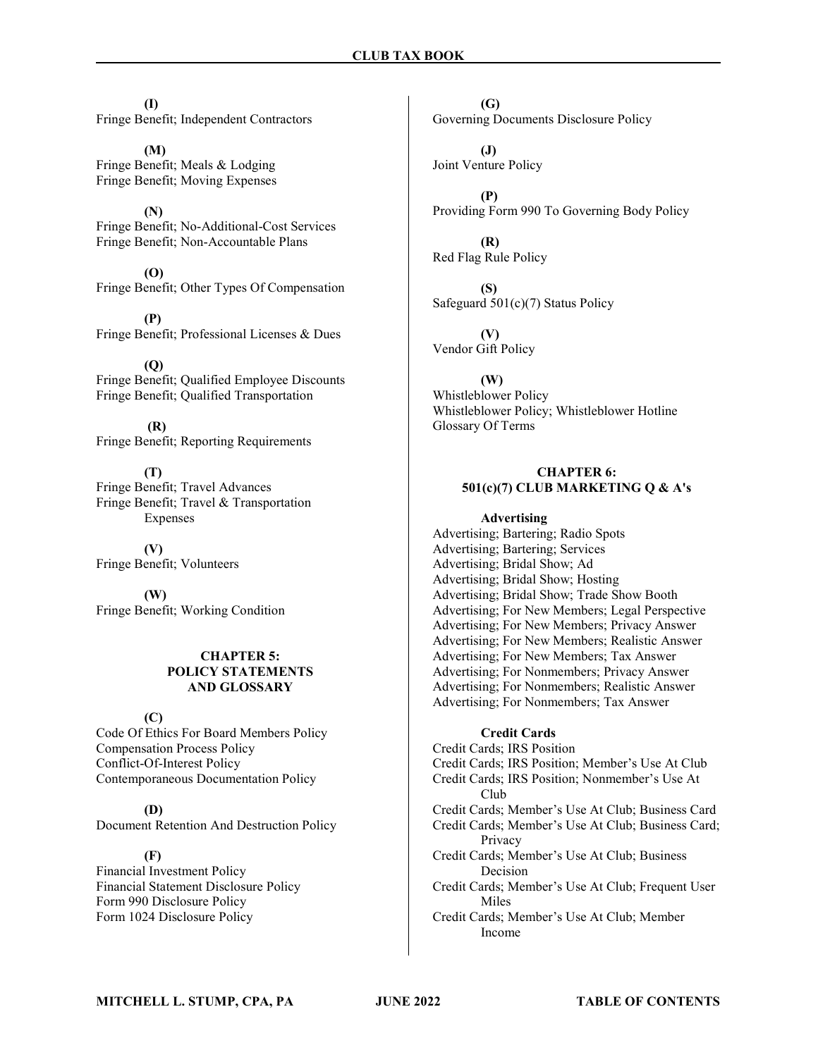(I) Fringe Benefit; Independent Contractors

(M) Fringe Benefit; Meals & Lodging Fringe Benefit; Moving Expenses

(N) Fringe Benefit; No-Additional-Cost Services Fringe Benefit; Non-Accountable Plans

(O) Fringe Benefit; Other Types Of Compensation

(P) Fringe Benefit; Professional Licenses & Dues

(Q) Fringe Benefit; Qualified Employee Discounts Fringe Benefit; Qualified Transportation

 (R) Fringe Benefit; Reporting Requirements

(T) Fringe Benefit; Travel Advances Fringe Benefit; Travel & Transportation Expenses

(V) Fringe Benefit; Volunteers

(W) Fringe Benefit; Working Condition

## CHAPTER 5: POLICY STATEMENTS AND GLOSSARY

## (C)

Code Of Ethics For Board Members Policy Compensation Process Policy Conflict-Of-Interest Policy Contemporaneous Documentation Policy

(D) Document Retention And Destruction Policy

## (F)

Financial Investment Policy Financial Statement Disclosure Policy Form 990 Disclosure Policy Form 1024 Disclosure Policy

(G) Governing Documents Disclosure Policy

(J) Joint Venture Policy

(P) Providing Form 990 To Governing Body Policy

(R) Red Flag Rule Policy

(S) Safeguard 501(c)(7) Status Policy

(V) Vendor Gift Policy

(W) Whistleblower Policy Whistleblower Policy; Whistleblower Hotline Glossary Of Terms

## CHAPTER 6: 501(c)(7) CLUB MARKETING Q & A's

## Advertising

Advertising; Bartering; Radio Spots Advertising; Bartering; Services Advertising; Bridal Show; Ad Advertising; Bridal Show; Hosting Advertising; Bridal Show; Trade Show Booth Advertising; For New Members; Legal Perspective Advertising; For New Members; Privacy Answer Advertising; For New Members; Realistic Answer Advertising; For New Members; Tax Answer Advertising; For Nonmembers; Privacy Answer Advertising; For Nonmembers; Realistic Answer Advertising; For Nonmembers; Tax Answer

## Credit Cards

Credit Cards; IRS Position Credit Cards; IRS Position; Member's Use At Club Credit Cards; IRS Position; Nonmember's Use At Club Credit Cards; Member's Use At Club; Business Card Credit Cards; Member's Use At Club; Business Card; Privacy Credit Cards; Member's Use At Club; Business Decision Credit Cards; Member's Use At Club; Frequent User Miles Credit Cards; Member's Use At Club; Member Income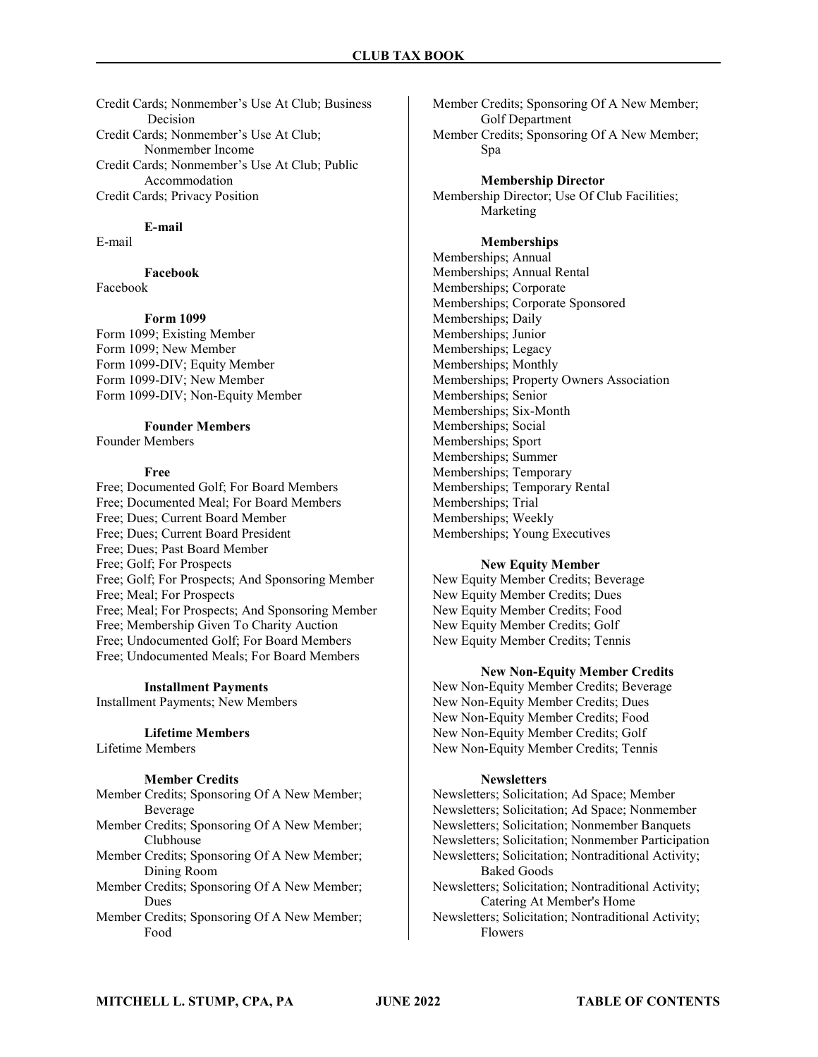Credit Cards; Nonmember's Use At Club; Business Decision Credit Cards; Nonmember's Use At Club; Nonmember Income Credit Cards; Nonmember's Use At Club; Public Accommodation Credit Cards; Privacy Position

## E-mail

E-mail

## Facebook

Facebook

## Form 1099

Form 1099; Existing Member Form 1099; New Member Form 1099-DIV; Equity Member Form 1099-DIV; New Member Form 1099-DIV; Non-Equity Member

#### Founder Members

Founder Members

#### Free

Free; Documented Golf; For Board Members Free; Documented Meal; For Board Members Free; Dues; Current Board Member Free; Dues; Current Board President Free; Dues; Past Board Member Free; Golf; For Prospects Free; Golf; For Prospects; And Sponsoring Member Free; Meal; For Prospects Free; Meal; For Prospects; And Sponsoring Member Free; Membership Given To Charity Auction Free; Undocumented Golf; For Board Members Free; Undocumented Meals; For Board Members

#### Installment Payments

Installment Payments; New Members

## Lifetime Members

Lifetime Members

#### Member Credits

Member Credits; Sponsoring Of A New Member; Beverage

- Member Credits; Sponsoring Of A New Member; Clubhouse
- Member Credits; Sponsoring Of A New Member; Dining Room
- Member Credits; Sponsoring Of A New Member; Dues
- Member Credits; Sponsoring Of A New Member; Food

Member Credits; Sponsoring Of A New Member; Golf Department

Member Credits; Sponsoring Of A New Member; Spa

Membership Director Membership Director; Use Of Club Facilities;

## Memberships

Marketing

Memberships; Annual Memberships; Annual Rental Memberships; Corporate Memberships; Corporate Sponsored Memberships; Daily Memberships; Junior Memberships; Legacy Memberships; Monthly Memberships; Property Owners Association Memberships; Senior Memberships; Six-Month Memberships; Social Memberships; Sport Memberships; Summer Memberships; Temporary Memberships; Temporary Rental Memberships; Trial Memberships; Weekly Memberships; Young Executives

## New Equity Member

New Equity Member Credits; Beverage New Equity Member Credits; Dues New Equity Member Credits; Food New Equity Member Credits; Golf New Equity Member Credits; Tennis

#### New Non-Equity Member Credits

New Non-Equity Member Credits; Beverage New Non-Equity Member Credits; Dues New Non-Equity Member Credits; Food New Non-Equity Member Credits; Golf New Non-Equity Member Credits; Tennis

#### **Newsletters**

Newsletters; Solicitation; Ad Space; Member Newsletters; Solicitation; Ad Space; Nonmember Newsletters; Solicitation; Nonmember Banquets Newsletters; Solicitation; Nonmember Participation Newsletters; Solicitation; Nontraditional Activity; Baked Goods Newsletters; Solicitation; Nontraditional Activity; Catering At Member's Home Newsletters; Solicitation; Nontraditional Activity;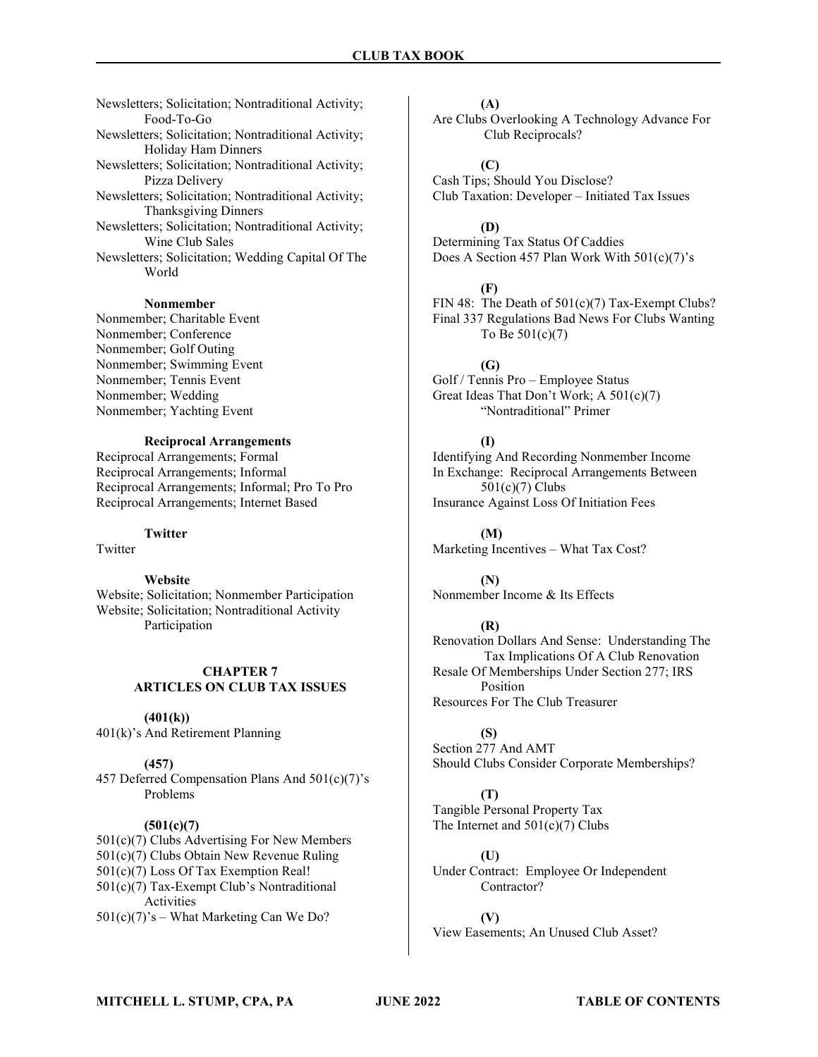Newsletters; Solicitation; Nontraditional Activity; Food-To-Go Newsletters; Solicitation; Nontraditional Activity; Holiday Ham Dinners Newsletters; Solicitation; Nontraditional Activity; Pizza Delivery Newsletters; Solicitation; Nontraditional Activity; Thanksgiving Dinners Newsletters; Solicitation; Nontraditional Activity; Wine Club Sales Newsletters; Solicitation; Wedding Capital Of The World

#### Nonmember

Nonmember; Charitable Event Nonmember; Conference Nonmember; Golf Outing Nonmember; Swimming Event Nonmember; Tennis Event Nonmember; Wedding Nonmember; Yachting Event

## Reciprocal Arrangements

Reciprocal Arrangements; Formal Reciprocal Arrangements; Informal Reciprocal Arrangements; Informal; Pro To Pro Reciprocal Arrangements; Internet Based

## **Twitter**

Twitter

## Website

Website; Solicitation; Nonmember Participation Website; Solicitation; Nontraditional Activity Participation

## CHAPTER 7 ARTICLES ON CLUB TAX ISSUES

#### $(401(k))$

401(k)'s And Retirement Planning

#### (457)

457 Deferred Compensation Plans And 501(c)(7)'s Problems

#### $(501(c)(7))$

501(c)(7) Clubs Advertising For New Members 501(c)(7) Clubs Obtain New Revenue Ruling 501(c)(7) Loss Of Tax Exemption Real! 501(c)(7) Tax-Exempt Club's Nontraditional Activities 501(c)(7)'s – What Marketing Can We Do?

(A)

Are Clubs Overlooking A Technology Advance For Club Reciprocals?

 $(C)$ Cash Tips; Should You Disclose? Club Taxation: Developer – Initiated Tax Issues

## (D)

Determining Tax Status Of Caddies Does A Section 457 Plan Work With 501(c)(7)'s

#### (F)

FIN 48: The Death of  $501(c)(7)$  Tax-Exempt Clubs? Final 337 Regulations Bad News For Clubs Wanting To Be 501(c)(7)

#### (G)

Golf / Tennis Pro – Employee Status Great Ideas That Don't Work; A 501(c)(7) "Nontraditional" Primer

#### (I)

Identifying And Recording Nonmember Income In Exchange: Reciprocal Arrangements Between 501(c)(7) Clubs Insurance Against Loss Of Initiation Fees

(M) Marketing Incentives – What Tax Cost?

(N) Nonmember Income & Its Effects

## (R)

Renovation Dollars And Sense: Understanding The Tax Implications Of A Club Renovation Resale Of Memberships Under Section 277; IRS Position Resources For The Club Treasurer

## (S)

Section 277 And AMT Should Clubs Consider Corporate Memberships?

## (T) Tangible Personal Property Tax The Internet and  $501(c)(7)$  Clubs

(U) Under Contract: Employee Or Independent Contractor?

(V) View Easements; An Unused Club Asset?